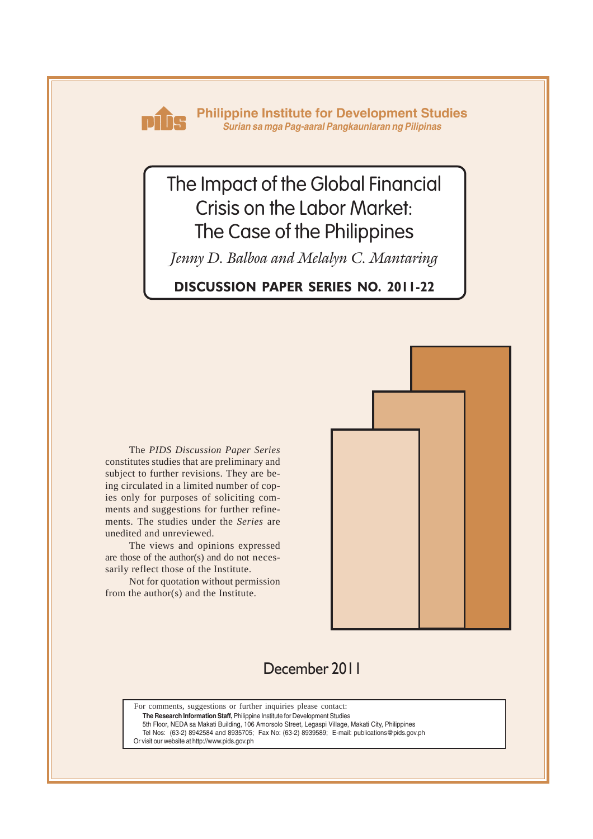

**Philippine Institute for Development Studies** *Surian sa mga Pag-aaral Pangkaunlaran ng Pilipinas*

# The Impact of the Global Financial Crisis on the Labor Market: The Case of the Philippines

*Jenny D. Balboa and Melalyn C. Mantaring*

**DISCUSSION PAPER SERIES NO. 2011-22**

The *PIDS Discussion Paper Series* constitutes studies that are preliminary and subject to further revisions. They are being circulated in a limited number of copies only for purposes of soliciting comments and suggestions for further refinements. The studies under the *Series* are unedited and unreviewed.

The views and opinions expressed are those of the author(s) and do not necessarily reflect those of the Institute.

Not for quotation without permission from the author(s) and the Institute.



## December 2011

For comments, suggestions or further inquiries please contact: **The Research Information Staff,** Philippine Institute for Development Studies

5th Floor, NEDA sa Makati Building, 106 Amorsolo Street, Legaspi Village, Makati City, Philippines

Tel Nos: (63-2) 8942584 and 8935705; Fax No: (63-2) 8939589; E-mail: publications@pids.gov.ph Or visit our website at http://www.pids.gov.ph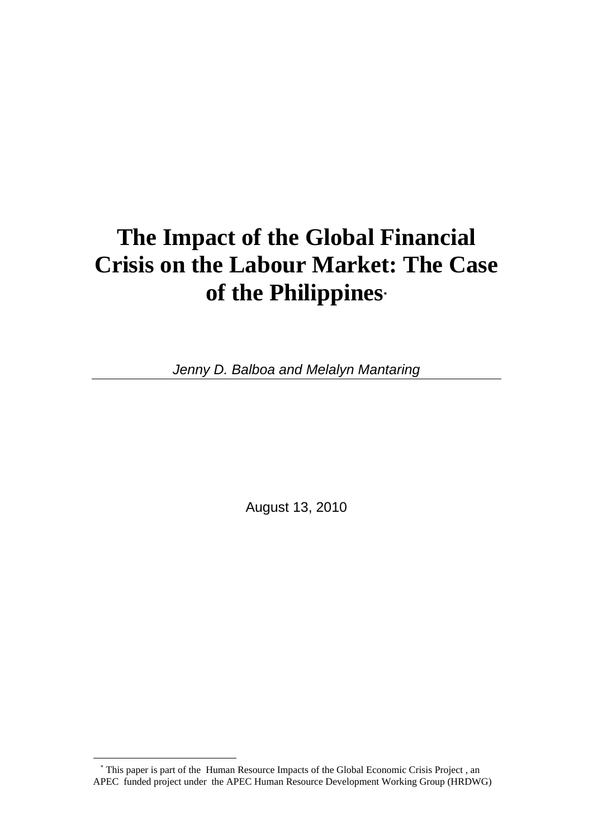# **The Impact of the Global Financial Crisis on the Labour Market: The Case of the Philippines**\*

*Jenny D. Balboa and Melalyn Mantaring* 

August 13, 2010

l

<sup>\*</sup> This paper is part of the Human Resource Impacts of the Global Economic Crisis Project , an APEC funded project under the APEC Human Resource Development Working Group (HRDWG)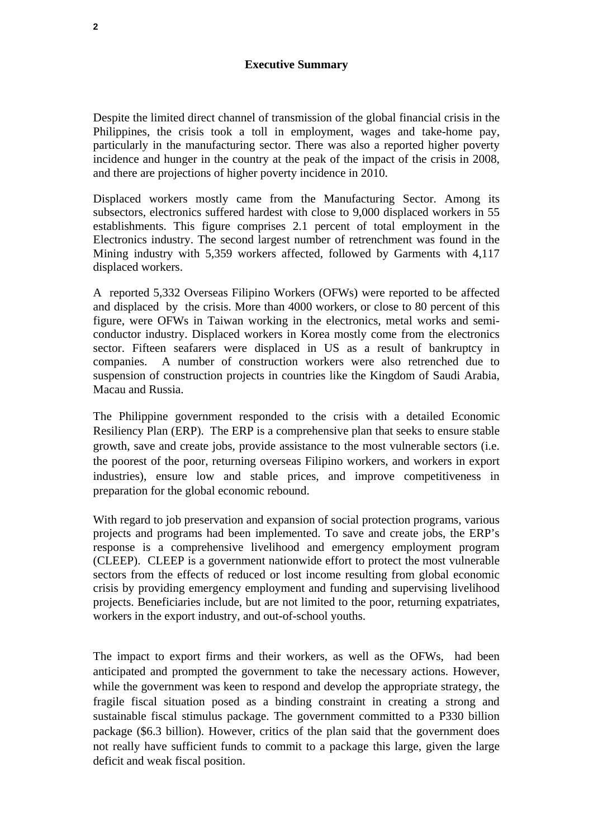Despite the limited direct channel of transmission of the global financial crisis in the Philippines, the crisis took a toll in employment, wages and take-home pay, particularly in the manufacturing sector. There was also a reported higher poverty incidence and hunger in the country at the peak of the impact of the crisis in 2008, and there are projections of higher poverty incidence in 2010.

Displaced workers mostly came from the Manufacturing Sector. Among its subsectors, electronics suffered hardest with close to 9,000 displaced workers in 55 establishments. This figure comprises 2.1 percent of total employment in the Electronics industry. The second largest number of retrenchment was found in the Mining industry with 5,359 workers affected, followed by Garments with 4,117 displaced workers.

A reported 5,332 Overseas Filipino Workers (OFWs) were reported to be affected and displaced by the crisis. More than 4000 workers, or close to 80 percent of this figure, were OFWs in Taiwan working in the electronics, metal works and semiconductor industry. Displaced workers in Korea mostly come from the electronics sector. Fifteen seafarers were displaced in US as a result of bankruptcy in companies. A number of construction workers were also retrenched due to suspension of construction projects in countries like the Kingdom of Saudi Arabia, Macau and Russia.

The Philippine government responded to the crisis with a detailed Economic Resiliency Plan (ERP). The ERP is a comprehensive plan that seeks to ensure stable growth, save and create jobs, provide assistance to the most vulnerable sectors (i.e. the poorest of the poor, returning overseas Filipino workers, and workers in export industries), ensure low and stable prices, and improve competitiveness in preparation for the global economic rebound.

With regard to job preservation and expansion of social protection programs, various projects and programs had been implemented. To save and create jobs, the ERP's response is a comprehensive livelihood and emergency employment program (CLEEP). CLEEP is a government nationwide effort to protect the most vulnerable sectors from the effects of reduced or lost income resulting from global economic crisis by providing emergency employment and funding and supervising livelihood projects. Beneficiaries include, but are not limited to the poor, returning expatriates, workers in the export industry, and out-of-school youths.

The impact to export firms and their workers, as well as the OFWs, had been anticipated and prompted the government to take the necessary actions. However, while the government was keen to respond and develop the appropriate strategy, the fragile fiscal situation posed as a binding constraint in creating a strong and sustainable fiscal stimulus package. The government committed to a P330 billion package (\$6.3 billion). However, critics of the plan said that the government does not really have sufficient funds to commit to a package this large, given the large deficit and weak fiscal position.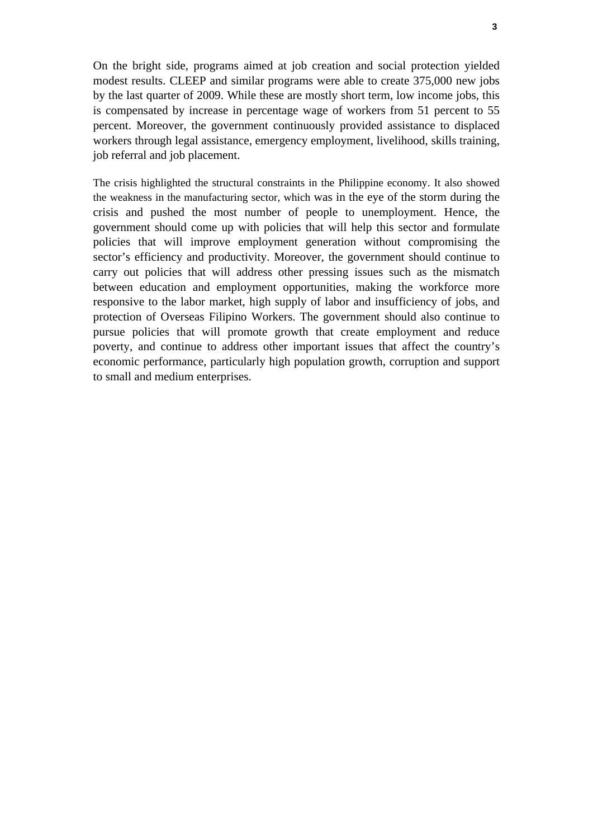On the bright side, programs aimed at job creation and social protection yielded modest results. CLEEP and similar programs were able to create 375,000 new jobs by the last quarter of 2009. While these are mostly short term, low income jobs, this is compensated by increase in percentage wage of workers from 51 percent to 55 percent. Moreover, the government continuously provided assistance to displaced workers through legal assistance, emergency employment, livelihood, skills training, job referral and job placement.

The crisis highlighted the structural constraints in the Philippine economy. It also showed the weakness in the manufacturing sector, which was in the eye of the storm during the crisis and pushed the most number of people to unemployment. Hence, the government should come up with policies that will help this sector and formulate policies that will improve employment generation without compromising the sector's efficiency and productivity. Moreover, the government should continue to carry out policies that will address other pressing issues such as the mismatch between education and employment opportunities, making the workforce more responsive to the labor market, high supply of labor and insufficiency of jobs, and protection of Overseas Filipino Workers. The government should also continue to pursue policies that will promote growth that create employment and reduce poverty, and continue to address other important issues that affect the country's economic performance, particularly high population growth, corruption and support to small and medium enterprises.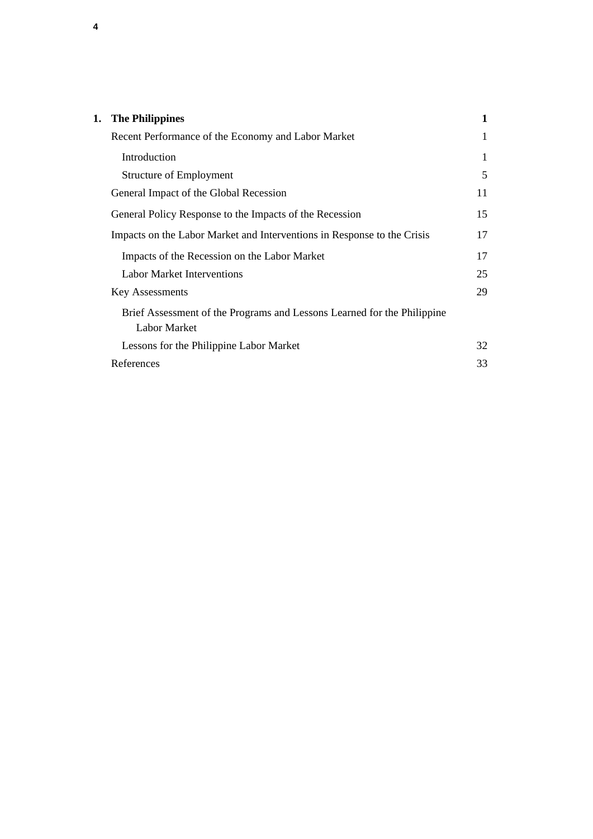| 1. The Philippines                                                                             | 1  |
|------------------------------------------------------------------------------------------------|----|
| Recent Performance of the Economy and Labor Market                                             | 1  |
| Introduction                                                                                   | 1  |
| <b>Structure of Employment</b>                                                                 | 5  |
| General Impact of the Global Recession                                                         | 11 |
| General Policy Response to the Impacts of the Recession                                        | 15 |
| Impacts on the Labor Market and Interventions in Response to the Crisis                        | 17 |
| Impacts of the Recession on the Labor Market                                                   | 17 |
| <b>Labor Market Interventions</b>                                                              | 25 |
| <b>Key Assessments</b>                                                                         | 29 |
| Brief Assessment of the Programs and Lessons Learned for the Philippine<br><b>Labor Market</b> |    |
| Lessons for the Philippine Labor Market                                                        | 32 |
| References                                                                                     | 33 |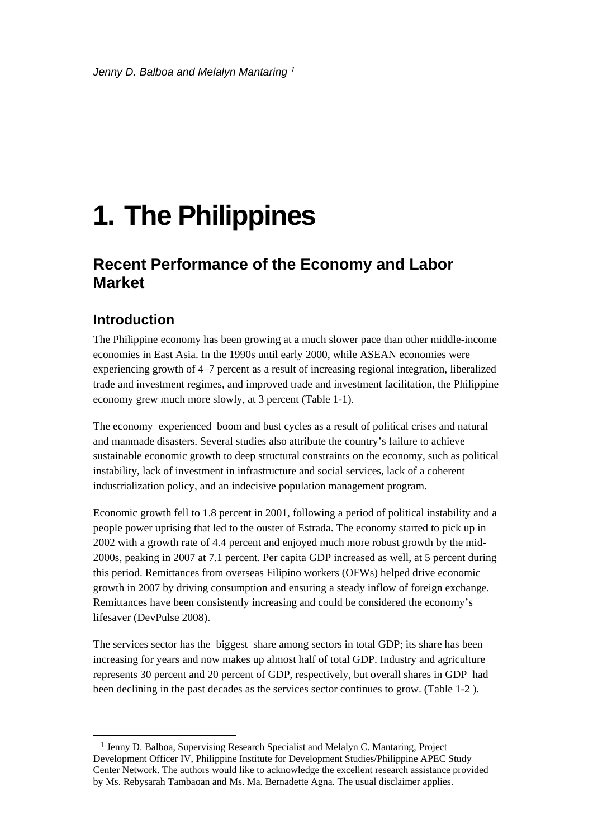# **1. The Philippines**

# **Recent Performance of the Economy and Labor Market**

### **Introduction**

l

The Philippine economy has been growing at a much slower pace than other middle-income economies in East Asia. In the 1990s until early 2000, while ASEAN economies were experiencing growth of 4–7 percent as a result of increasing regional integration, liberalized trade and investment regimes, and improved trade and investment facilitation, the Philippine economy grew much more slowly, at 3 percent (Table 1-1).

The economy experienced boom and bust cycles as a result of political crises and natural and manmade disasters. Several studies also attribute the country's failure to achieve sustainable economic growth to deep structural constraints on the economy, such as political instability, lack of investment in infrastructure and social services, lack of a coherent industrialization policy, and an indecisive population management program.

Economic growth fell to 1.8 percent in 2001, following a period of political instability and a people power uprising that led to the ouster of Estrada. The economy started to pick up in 2002 with a growth rate of 4.4 percent and enjoyed much more robust growth by the mid-2000s, peaking in 2007 at 7.1 percent. Per capita GDP increased as well, at 5 percent during this period. Remittances from overseas Filipino workers (OFWs) helped drive economic growth in 2007 by driving consumption and ensuring a steady inflow of foreign exchange. Remittances have been consistently increasing and could be considered the economy's lifesaver (DevPulse 2008).

The services sector has the biggest share among sectors in total GDP; its share has been increasing for years and now makes up almost half of total GDP. Industry and agriculture represents 30 percent and 20 percent of GDP, respectively, but overall shares in GDP had been declining in the past decades as the services sector continues to grow. (Table 1-2 ).

<sup>&</sup>lt;sup>1</sup> Jenny D. Balboa, Supervising Research Specialist and Melalyn C. Mantaring, Project Development Officer IV, Philippine Institute for Development Studies/Philippine APEC Study Center Network. The authors would like to acknowledge the excellent research assistance provided by Ms. Rebysarah Tambaoan and Ms. Ma. Bernadette Agna. The usual disclaimer applies.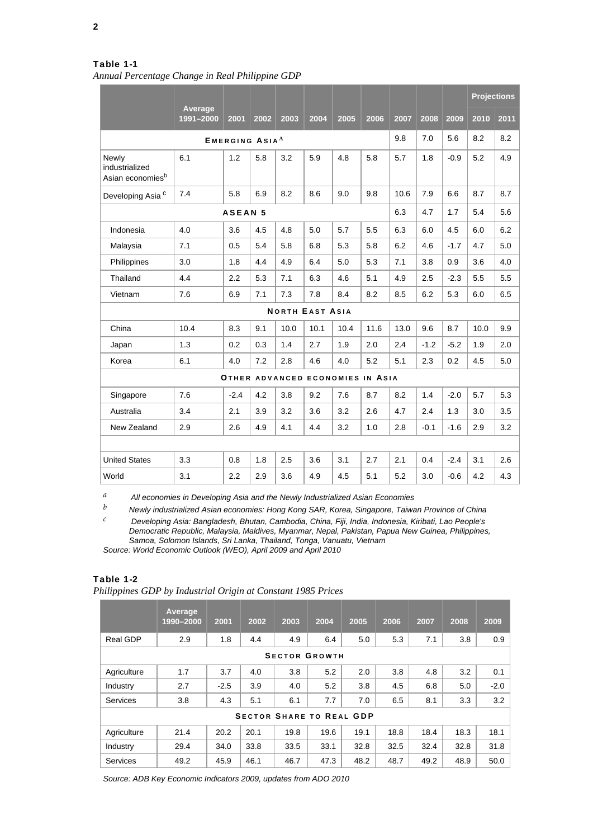*Annual Percentage Change in Real Philippine GDP*

|                                                         |                                          |                |      |      |                        |      |                                  |      |        |        | <b>Projections</b> |      |
|---------------------------------------------------------|------------------------------------------|----------------|------|------|------------------------|------|----------------------------------|------|--------|--------|--------------------|------|
|                                                         | Average<br>1991-2000                     | 2001           | 2002 | 2003 | 2004                   | 2005 | 2006                             | 2007 | 2008   | 2009   | 2010               | 2011 |
|                                                         | 9.8<br><b>EMERGING ASIA</b> <sup>A</sup> |                |      |      |                        |      |                                  |      |        |        |                    |      |
| Newly<br>industrialized<br>Asian economies <sup>b</sup> | 6.1                                      | 1.2            | 5.8  | 3.2  | 5.9                    | 4.8  | 5.8                              | 5.7  | 1.8    | $-0.9$ | 5.2                | 4.9  |
| Developing Asia <sup>c</sup>                            | 7.4                                      | 5.8            | 6.9  | 8.2  | 8.6                    | 9.0  | 9.8                              | 10.6 | 7.9    | 6.6    | 8.7                | 8.7  |
|                                                         |                                          | <b>ASEAN 5</b> |      |      |                        |      |                                  | 6.3  | 4.7    | 1.7    | 5.4                | 5.6  |
| Indonesia                                               | 4.0                                      | 3.6            | 4.5  | 4.8  | 5.0                    | 5.7  | 5.5                              | 6.3  | 6.0    | 4.5    | 6.0                | 6.2  |
| Malaysia                                                | 7.1                                      | 0.5            | 5.4  | 5.8  | 6.8                    | 5.3  | 5.8                              | 6.2  | 4.6    | $-1.7$ | 4.7                | 5.0  |
| Philippines                                             | 3.0                                      | 1.8            | 4.4  | 4.9  | 6.4                    | 5.0  | 5.3                              | 7.1  | 3.8    | 0.9    | 3.6                | 4.0  |
| Thailand                                                | 4.4                                      | 2.2            | 5.3  | 7.1  | 6.3                    | 4.6  | 5.1                              | 4.9  | 2.5    | $-2.3$ | 5.5                | 5.5  |
| Vietnam                                                 | 7.6                                      | 6.9            | 7.1  | 7.3  | 7.8                    | 8.4  | 8.2                              | 8.5  | 6.2    | 5.3    | 6.0                | 6.5  |
|                                                         |                                          |                |      |      | <b>NORTH EAST ASIA</b> |      |                                  |      |        |        |                    |      |
| China                                                   | 10.4                                     | 8.3            | 9.1  | 10.0 | 10.1                   | 10.4 | 11.6                             | 13.0 | 9.6    | 8.7    | 10.0               | 9.9  |
| Japan                                                   | 1.3                                      | 0.2            | 0.3  | 1.4  | 2.7                    | 1.9  | 2.0                              | 2.4  | $-1.2$ | $-5.2$ | 1.9                | 2.0  |
| Korea                                                   | 6.1                                      | 4.0            | 7.2  | 2.8  | 4.6                    | 4.0  | 5.2                              | 5.1  | 2.3    | 0.2    | 4.5                | 5.0  |
|                                                         |                                          |                |      |      |                        |      | OTHER ADVANCED ECONOMIES IN ASIA |      |        |        |                    |      |
| Singapore                                               | 7.6                                      | $-2.4$         | 4.2  | 3.8  | 9.2                    | 7.6  | 8.7                              | 8.2  | 1.4    | $-2.0$ | 5.7                | 5.3  |
| Australia                                               | 3.4                                      | 2.1            | 3.9  | 3.2  | 3.6                    | 3.2  | 2.6                              | 4.7  | 2.4    | 1.3    | 3.0                | 3.5  |
| New Zealand                                             | 2.9                                      | 2.6            | 4.9  | 4.1  | 4.4                    | 3.2  | 1.0                              | 2.8  | $-0.1$ | $-1.6$ | 2.9                | 3.2  |
|                                                         |                                          |                |      |      |                        |      |                                  |      |        |        |                    |      |
| <b>United States</b>                                    | 3.3                                      | 0.8            | 1.8  | 2.5  | 3.6                    | 3.1  | 2.7                              | 2.1  | 0.4    | $-2.4$ | 3.1                | 2.6  |
| World                                                   | 3.1                                      | 2.2            | 2.9  | 3.6  | 4.9                    | 4.5  | 5.1                              | 5.2  | 3.0    | $-0.6$ | 4.2                | 4.3  |

*a All economies in Developing Asia and the Newly Industrialized Asian Economies* 

*b Newly industrialized Asian economies: Hong Kong SAR, Korea, Singapore, Taiwan Province of China* 

*c Developing Asia: Bangladesh, Bhutan, Cambodia, China, Fiji, India, Indonesia, Kiribati, Lao People's Democratic Republic, Malaysia, Maldives, Myanmar, Nepal, Pakistan, Papua New Guinea, Philippines, Samoa, Solomon Islands, Sri Lanka, Thailand, Tonga, Vanuatu, Vietnam Source: World Economic Outlook (WEO), April 2009 and April 2010* 

#### Table 1-2

*Philippines GDP by Industrial Origin at Constant 1985 Prices*

|             | Average<br>1990-2000 | 2001   | 2002 | 2003 | 2004                            | 2005 | 2006 | 2007 | 2008 | 2009   |
|-------------|----------------------|--------|------|------|---------------------------------|------|------|------|------|--------|
| Real GDP    | 2.9                  | 1.8    | 4.4  | 4.9  | 6.4                             | 5.0  | 5.3  | 7.1  | 3.8  | 0.9    |
|             |                      |        |      |      | <b>SECTOR GROWTH</b>            |      |      |      |      |        |
| Agriculture | 1.7                  | 3.7    | 4.0  | 3.8  | 5.2                             | 2.0  | 3.8  | 4.8  | 3.2  | 0.1    |
| Industry    | 2.7                  | $-2.5$ | 3.9  | 4.0  | 5.2                             | 3.8  | 4.5  | 6.8  | 5.0  | $-2.0$ |
| Services    | 3.8                  | 4.3    | 5.1  | 6.1  | 7.7                             | 7.0  | 6.5  | 8.1  | 3.3  | 3.2    |
|             |                      |        |      |      | <b>SECTOR SHARE TO REAL GDP</b> |      |      |      |      |        |
| Agriculture | 21.4                 | 20.2   | 20.1 | 19.8 | 19.6                            | 19.1 | 18.8 | 18.4 | 18.3 | 18.1   |
| Industry    | 29.4                 | 34.0   | 33.8 | 33.5 | 33.1                            | 32.8 | 32.5 | 32.4 | 32.8 | 31.8   |
| Services    | 49.2                 | 45.9   | 46.1 | 46.7 | 47.3                            | 48.2 | 48.7 | 49.2 | 48.9 | 50.0   |

*Source: ADB Key Economic Indicators 2009, updates from ADO 2010*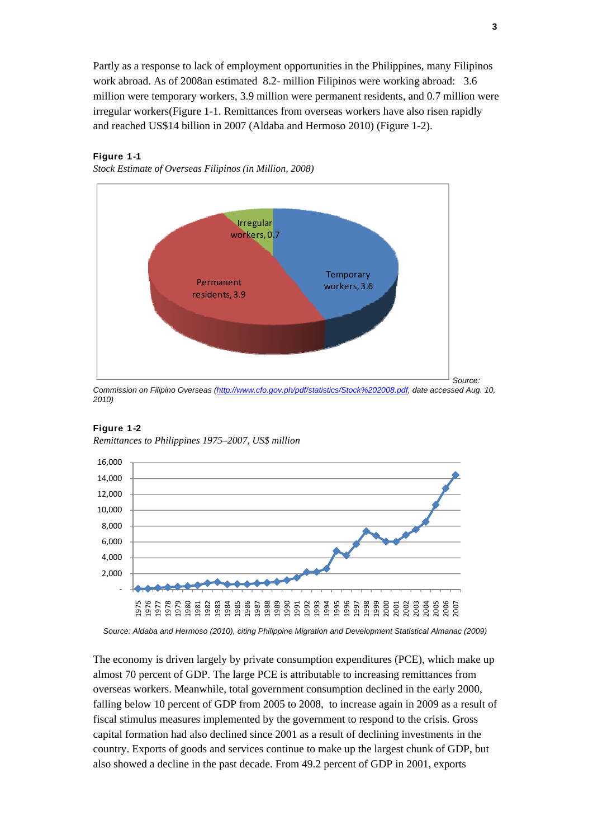Partly as a response to lack of employment opportunities in the Philippines, many Filipinos work abroad. As of 2008an estimated 8.2- million Filipinos were working abroad: 3.6 million were temporary workers, 3.9 million were permanent residents, and 0.7 million were irregular workers(Figure 1-1. Remittances from overseas workers have also risen rapidly and reached US\$14 billion in 2007 (Aldaba and Hermoso 2010) (Figure 1-2).

### Figure 1-1

*Stock Estimate of Overseas Filipinos (in Million, 2008)* 



*Commission on Filipino Overseas (http://www.cfo.gov.ph/pdf/statistics/Stock%202008.pdf, date accessed Aug. 10, 2010)* 

#### Figure 1-2

*Remittances to Philippines 1975–2007, US\$ million*



*Source: Aldaba and Hermoso (2010), citing Philippine Migration and Development Statistical Almanac (2009)* 

The economy is driven largely by private consumption expenditures (PCE), which make up almost 70 percent of GDP. The large PCE is attributable to increasing remittances from overseas workers. Meanwhile, total government consumption declined in the early 2000, falling below 10 percent of GDP from 2005 to 2008, to increase again in 2009 as a result of fiscal stimulus measures implemented by the government to respond to the crisis. Gross capital formation had also declined since 2001 as a result of declining investments in the country. Exports of goods and services continue to make up the largest chunk of GDP, but also showed a decline in the past decade. From 49.2 percent of GDP in 2001, exports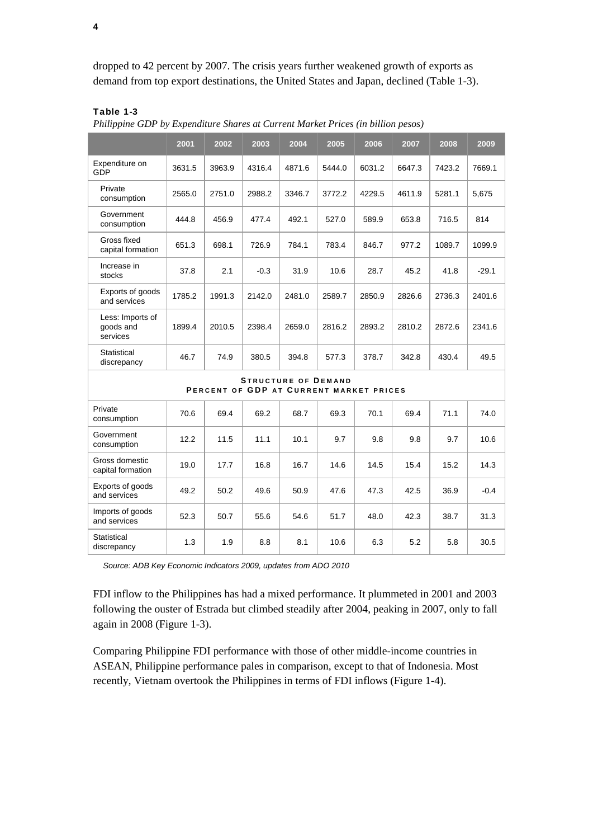dropped to 42 percent by 2007. The crisis years further weakened growth of exports as demand from top export destinations, the United States and Japan, declined (Table 1-3).

### Table 1-3

*Philippine GDP by Expenditure Shares at Current Market Prices (in billion pesos)*

|                                           | 2001   | 2002   | 2003   | 2004                                                                  | 2005   | 2006   | 2007   | 2008   | 2009    |
|-------------------------------------------|--------|--------|--------|-----------------------------------------------------------------------|--------|--------|--------|--------|---------|
| Expenditure on<br>GDP                     | 3631.5 | 3963.9 | 4316.4 | 4871.6                                                                | 5444.0 | 6031.2 | 6647.3 | 7423.2 | 7669.1  |
| Private<br>consumption                    | 2565.0 | 2751.0 | 2988.2 | 3346.7                                                                | 3772.2 | 4229.5 | 4611.9 | 5281.1 | 5,675   |
| Government<br>consumption                 | 444.8  | 456.9  | 477.4  | 492.1                                                                 | 527.0  | 589.9  | 653.8  | 716.5  | 814     |
| Gross fixed<br>capital formation          | 651.3  | 698.1  | 726.9  | 784.1                                                                 | 783.4  | 846.7  | 977.2  | 1089.7 | 1099.9  |
| Increase in<br>stocks                     | 37.8   | 2.1    | $-0.3$ | 31.9                                                                  | 10.6   | 28.7   | 45.2   | 41.8   | $-29.1$ |
| Exports of goods<br>and services          | 1785.2 | 1991.3 | 2142.0 | 2481.0                                                                | 2589.7 | 2850.9 | 2826.6 | 2736.3 | 2401.6  |
| Less: Imports of<br>goods and<br>services | 1899.4 | 2010.5 | 2398.4 | 2659.0                                                                | 2816.2 | 2893.2 | 2810.2 | 2872.6 | 2341.6  |
| Statistical<br>discrepancy                | 46.7   | 74.9   | 380.5  | 394.8                                                                 | 577.3  | 378.7  | 342.8  | 430.4  | 49.5    |
|                                           |        |        |        | <b>STRUCTURE OF DEMAND</b><br>PERCENT OF GDP AT CURRENT MARKET PRICES |        |        |        |        |         |
| Private<br>consumption                    | 70.6   | 69.4   | 69.2   | 68.7                                                                  | 69.3   | 70.1   | 69.4   | 71.1   | 74.0    |
| Government<br>consumption                 | 12.2   | 11.5   | 11.1   | 10.1                                                                  | 9.7    | 9.8    | 9.8    | 9.7    | 10.6    |
| Gross domestic<br>capital formation       | 19.0   | 17.7   | 16.8   | 16.7                                                                  | 14.6   | 14.5   | 15.4   | 15.2   | 14.3    |
| Exports of goods<br>and services          | 49.2   | 50.2   | 49.6   | 50.9                                                                  | 47.6   | 47.3   | 42.5   | 36.9   | $-0.4$  |
| Imports of goods<br>and services          | 52.3   | 50.7   | 55.6   | 54.6                                                                  | 51.7   | 48.0   | 42.3   | 38.7   | 31.3    |
| Statistical<br>discrepancy                | 1.3    | 1.9    | 8.8    | 8.1                                                                   | 10.6   | 6.3    | 5.2    | 5.8    | 30.5    |

*Source: ADB Key Economic Indicators 2009, updates from ADO 2010* 

FDI inflow to the Philippines has had a mixed performance. It plummeted in 2001 and 2003 following the ouster of Estrada but climbed steadily after 2004, peaking in 2007, only to fall again in 2008 (Figure 1-3).

Comparing Philippine FDI performance with those of other middle-income countries in ASEAN, Philippine performance pales in comparison, except to that of Indonesia. Most recently, Vietnam overtook the Philippines in terms of FDI inflows (Figure 1-4).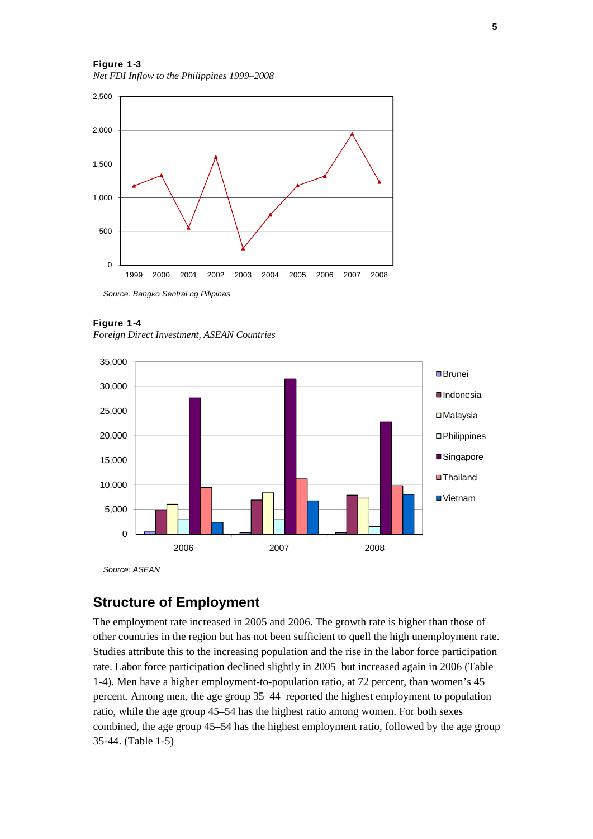Figure 1-3 *Net FDI Inflow to the Philippines 1999–2008* 



Figure 1-4 *Foreign Direct Investment, ASEAN Countries*



*Source: ASEAN* 

### **Structure of Employment**

The employment rate increased in 2005 and 2006. The growth rate is higher than those of other countries in the region but has not been sufficient to quell the high unemployment rate. Studies attribute this to the increasing population and the rise in the labor force participation rate. Labor force participation declined slightly in 2005 but increased again in 2006 (Table 1-4). Men have a higher employment-to-population ratio, at 72 percent, than women's 45 percent. Among men, the age group 35–44 reported the highest employment to population ratio, while the age group 45–54 has the highest ratio among women. For both sexes combined, the age group 45–54 has the highest employment ratio, followed by the age group 35-44. (Table 1-5)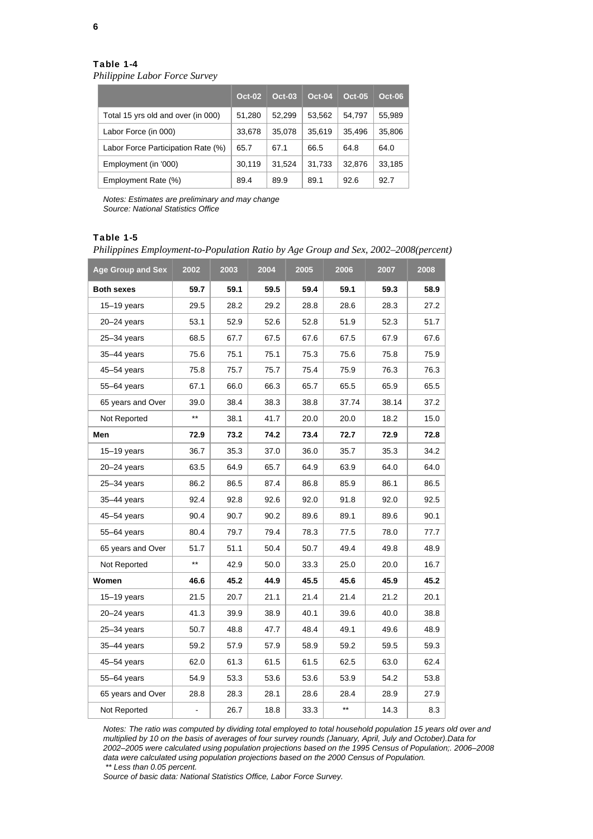*Philippine Labor Force Survey* 

|                                    | <b>Oct-02</b> | <b>Oct-03</b> | Oct-04 | $Oct-05$ | $Oct-06$ |
|------------------------------------|---------------|---------------|--------|----------|----------|
| Total 15 yrs old and over (in 000) | 51,280        | 52,299        | 53,562 | 54,797   | 55,989   |
| Labor Force (in 000)               | 33,678        | 35.078        | 35,619 | 35.496   | 35,806   |
| Labor Force Participation Rate (%) | 65.7          | 67.1          | 66.5   | 64.8     | 64.0     |
| Employment (in '000)               | 30,119        | 31,524        | 31,733 | 32,876   | 33,185   |
| Employment Rate (%)                | 89.4          | 89.9          | 89.1   | 92.6     | 92.7     |

*Notes: Estimates are preliminary and may change Source: National Statistics Office* 

### Table 1-5

*Philippines Employment-to-Population Ratio by Age Group and Sex, 2002–2008(percent)*

| <b>Age Group and Sex</b> | 2002            | 2003 | 2004 | 2005 | 2006            | 2007  | 2008 |
|--------------------------|-----------------|------|------|------|-----------------|-------|------|
| <b>Both sexes</b>        | 59.7            | 59.1 | 59.5 | 59.4 | 59.1            | 59.3  | 58.9 |
| $15 - 19$ years          | 29.5            | 28.2 | 29.2 | 28.8 | 28.6            | 28.3  | 27.2 |
| $20 - 24$ years          | 53.1            | 52.9 | 52.6 | 52.8 | 51.9            | 52.3  | 51.7 |
| $25 - 34$ years          | 68.5            | 67.7 | 67.5 | 67.6 | 67.5            | 67.9  | 67.6 |
| $35 - 44$ years          | 75.6            | 75.1 | 75.1 | 75.3 | 75.6            | 75.8  | 75.9 |
| 45-54 years              | 75.8            | 75.7 | 75.7 | 75.4 | 75.9            | 76.3  | 76.3 |
| 55-64 years              | 67.1            | 66.0 | 66.3 | 65.7 | 65.5            | 65.9  | 65.5 |
| 65 years and Over        | 39.0            | 38.4 | 38.3 | 38.8 | 37.74           | 38.14 | 37.2 |
| Not Reported             | $***$           | 38.1 | 41.7 | 20.0 | 20.0            | 18.2  | 15.0 |
| Men                      | 72.9            | 73.2 | 74.2 | 73.4 | 72.7            | 72.9  | 72.8 |
| $15 - 19$ years          | 36.7            | 35.3 | 37.0 | 36.0 | 35.7            | 35.3  | 34.2 |
| $20 - 24$ years          | 63.5            | 64.9 | 65.7 | 64.9 | 63.9            | 64.0  | 64.0 |
| $25 - 34$ years          | 86.2            | 86.5 | 87.4 | 86.8 | 85.9            | 86.1  | 86.5 |
| $35 - 44$ years          | 92.4            | 92.8 | 92.6 | 92.0 | 91.8            | 92.0  | 92.5 |
| $45 - 54$ years          | 90.4            | 90.7 | 90.2 | 89.6 | 89.1            | 89.6  | 90.1 |
| 55-64 years              | 80.4            | 79.7 | 79.4 | 78.3 | 77.5            | 78.0  | 77.7 |
| 65 years and Over        | 51.7            | 51.1 | 50.4 | 50.7 | 49.4            | 49.8  | 48.9 |
| Not Reported             | $^{\star\star}$ | 42.9 | 50.0 | 33.3 | 25.0            | 20.0  | 16.7 |
| Women                    | 46.6            | 45.2 | 44.9 | 45.5 | 45.6            | 45.9  | 45.2 |
| $15 - 19$ years          | 21.5            | 20.7 | 21.1 | 21.4 | 21.4            | 21.2  | 20.1 |
| $20 - 24$ years          | 41.3            | 39.9 | 38.9 | 40.1 | 39.6            | 40.0  | 38.8 |
| $25 - 34$ years          | 50.7            | 48.8 | 47.7 | 48.4 | 49.1            | 49.6  | 48.9 |
| $35 - 44$ years          | 59.2            | 57.9 | 57.9 | 58.9 | 59.2            | 59.5  | 59.3 |
| $45 - 54$ years          | 62.0            | 61.3 | 61.5 | 61.5 | 62.5            | 63.0  | 62.4 |
| 55-64 years              | 54.9            | 53.3 | 53.6 | 53.6 | 53.9            | 54.2  | 53.8 |
| 65 years and Over        | 28.8            | 28.3 | 28.1 | 28.6 | 28.4            | 28.9  | 27.9 |
| Not Reported             | $\blacksquare$  | 26.7 | 18.8 | 33.3 | $^{\star\star}$ | 14.3  | 8.3  |

*Notes: The ratio was computed by dividing total employed to total household population 15 years old over and multiplied by 10 on the basis of averages of four survey rounds (January, April, July and October).Data for 2002–2005 were calculated using population projections based on the 1995 Census of Population;. 2006–2008 data were calculated using population projections based on the 2000 Census of Population.*

 *\*\* Less than 0.05 percent.* 

*Source of basic data: National Statistics Office, Labor Force Survey.*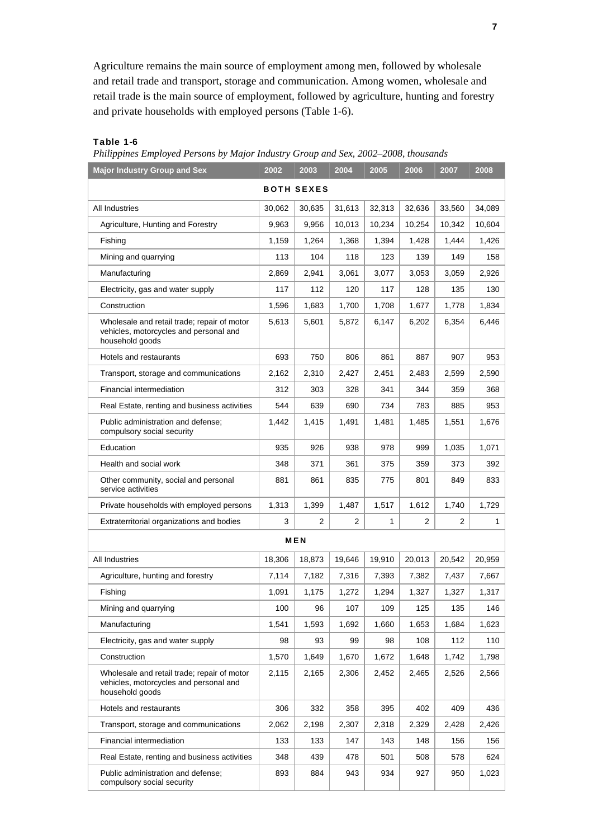Agriculture remains the main source of employment among men, followed by wholesale and retail trade and transport, storage and communication. Among women, wholesale and retail trade is the main source of employment, followed by agriculture, hunting and forestry and private households with employed persons (Table 1-6).

### Table 1-6

*Philippines Employed Persons by Major Industry Group and Sex, 2002–2008, thousands*

| <b>Major Industry Group and Sex</b>                                                                      | 2002   | 2003       | 2004   | 2005   | 2006   | 2007   | 2008   |  |  |  |  |  |
|----------------------------------------------------------------------------------------------------------|--------|------------|--------|--------|--------|--------|--------|--|--|--|--|--|
| <b>BOTH SEXES</b>                                                                                        |        |            |        |        |        |        |        |  |  |  |  |  |
| All Industries                                                                                           | 30,062 | 30,635     | 31,613 | 32,313 | 32,636 | 33,560 | 34,089 |  |  |  |  |  |
| Agriculture, Hunting and Forestry                                                                        | 9,963  | 9,956      | 10,013 | 10,234 | 10,254 | 10,342 | 10,604 |  |  |  |  |  |
| Fishing                                                                                                  | 1,159  | 1,264      | 1,368  | 1,394  | 1,428  | 1,444  | 1,426  |  |  |  |  |  |
| Mining and quarrying                                                                                     | 113    | 104        | 118    | 123    | 139    | 149    | 158    |  |  |  |  |  |
| Manufacturing                                                                                            | 2,869  | 2.941      | 3,061  | 3,077  | 3,053  | 3,059  | 2,926  |  |  |  |  |  |
| Electricity, gas and water supply                                                                        | 117    | 112        | 120    | 117    | 128    | 135    | 130    |  |  |  |  |  |
| Construction                                                                                             | 1,596  | 1,683      | 1,700  | 1,708  | 1,677  | 1,778  | 1,834  |  |  |  |  |  |
| Wholesale and retail trade; repair of motor<br>vehicles, motorcycles and personal and<br>household goods | 5,613  | 5,601      | 5,872  | 6,147  | 6,202  | 6,354  | 6,446  |  |  |  |  |  |
| Hotels and restaurants                                                                                   | 693    | 750        | 806    | 861    | 887    | 907    | 953    |  |  |  |  |  |
| Transport, storage and communications                                                                    | 2,162  | 2,310      | 2,427  | 2,451  | 2,483  | 2,599  | 2,590  |  |  |  |  |  |
| Financial intermediation                                                                                 | 312    | 303        | 328    | 341    | 344    | 359    | 368    |  |  |  |  |  |
| Real Estate, renting and business activities                                                             | 544    | 639        | 690    | 734    | 783    | 885    | 953    |  |  |  |  |  |
| Public administration and defense;<br>compulsory social security                                         | 1.442  | 1,415      | 1,491  | 1,481  | 1,485  | 1,551  | 1,676  |  |  |  |  |  |
| Education                                                                                                | 935    | 926        | 938    | 978    | 999    | 1,035  | 1,071  |  |  |  |  |  |
| Health and social work                                                                                   | 348    | 371        | 361    | 375    | 359    | 373    | 392    |  |  |  |  |  |
| Other community, social and personal<br>service activities                                               | 881    | 861        | 835    | 775    | 801    | 849    | 833    |  |  |  |  |  |
| Private households with employed persons                                                                 | 1,313  | 1,399      | 1,487  | 1,517  | 1,612  | 1,740  | 1,729  |  |  |  |  |  |
| Extraterritorial organizations and bodies                                                                | 3      | 2          | 2      | 1      | 2      | 2      | 1      |  |  |  |  |  |
|                                                                                                          |        | <b>MEN</b> |        |        |        |        |        |  |  |  |  |  |
| All Industries                                                                                           | 18,306 | 18,873     | 19,646 | 19,910 | 20,013 | 20,542 | 20,959 |  |  |  |  |  |
| Agriculture, hunting and forestry                                                                        | 7,114  | 7,182      | 7,316  | 7,393  | 7,382  | 7,437  | 7,667  |  |  |  |  |  |
| Fishing                                                                                                  | 1,091  | 1,175      | 1,272  | 1,294  | 1,327  | 1,327  | 1,317  |  |  |  |  |  |
| Mining and quarrying                                                                                     | 100    | 96         | 107    | 109    | 125    | 135    | 146    |  |  |  |  |  |
| Manufacturing                                                                                            | 1,541  | 1,593      | 1,692  | 1,660  | 1,653  | 1,684  | 1,623  |  |  |  |  |  |
| Electricity, gas and water supply                                                                        | 98     | 93         | 99     | 98     | 108    | 112    | 110    |  |  |  |  |  |
| Construction                                                                                             | 1,570  | 1,649      | 1,670  | 1,672  | 1,648  | 1,742  | 1,798  |  |  |  |  |  |
| Wholesale and retail trade; repair of motor<br>vehicles, motorcycles and personal and<br>household goods | 2,115  | 2,165      | 2,306  | 2,452  | 2,465  | 2,526  | 2,566  |  |  |  |  |  |
| Hotels and restaurants                                                                                   | 306    | 332        | 358    | 395    | 402    | 409    | 436    |  |  |  |  |  |
| Transport, storage and communications                                                                    | 2,062  | 2,198      | 2,307  | 2,318  | 2,329  | 2,428  | 2,426  |  |  |  |  |  |
| Financial intermediation                                                                                 | 133    | 133        | 147    | 143    | 148    | 156    | 156    |  |  |  |  |  |
| Real Estate, renting and business activities                                                             | 348    | 439        | 478    | 501    | 508    | 578    | 624    |  |  |  |  |  |
| Public administration and defense;<br>compulsory social security                                         | 893    | 884        | 943    | 934    | 927    | 950    | 1,023  |  |  |  |  |  |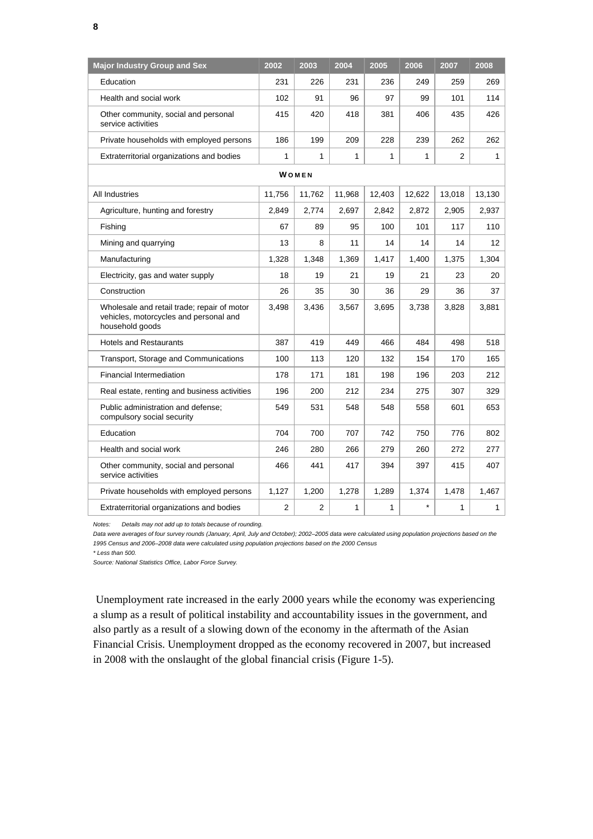| <b>Major Industry Group and Sex</b>                                                                      | 2002   | 2003           | 2004   | 2005         | 2006    | 2007           | 2008   |
|----------------------------------------------------------------------------------------------------------|--------|----------------|--------|--------------|---------|----------------|--------|
| Education                                                                                                | 231    | 226            | 231    | 236          | 249     | 259            | 269    |
| Health and social work                                                                                   | 102    | 91             | 96     | 97           | 99      | 101            | 114    |
| Other community, social and personal<br>service activities                                               | 415    | 420            | 418    | 381          | 406     | 435            | 426    |
| Private households with employed persons                                                                 | 186    | 199            | 209    | 228          | 239     | 262            | 262    |
| Extraterritorial organizations and bodies                                                                | 1      | 1              | 1      | 1            | 1       | $\overline{2}$ | 1      |
|                                                                                                          |        | WOMEN          |        |              |         |                |        |
| All Industries                                                                                           | 11,756 | 11,762         | 11,968 | 12,403       | 12,622  | 13,018         | 13,130 |
| Agriculture, hunting and forestry                                                                        | 2,849  | 2,774          | 2,697  | 2,842        | 2,872   | 2,905          | 2,937  |
| Fishing                                                                                                  | 67     | 89             | 95     | 100          | 101     | 117            | 110    |
| Mining and quarrying                                                                                     | 13     | 8              | 11     | 14           | 14      | 14             | 12     |
| Manufacturing                                                                                            | 1,328  | 1,348          | 1,369  | 1,417        | 1,400   | 1,375          | 1,304  |
| Electricity, gas and water supply                                                                        | 18     | 19             | 21     | 19           | 21      | 23             | 20     |
| Construction                                                                                             | 26     | 35             | 30     | 36           | 29      | 36             | 37     |
| Wholesale and retail trade; repair of motor<br>vehicles, motorcycles and personal and<br>household goods | 3.498  | 3,436          | 3,567  | 3,695        | 3,738   | 3,828          | 3.881  |
| <b>Hotels and Restaurants</b>                                                                            | 387    | 419            | 449    | 466          | 484     | 498            | 518    |
| Transport, Storage and Communications                                                                    | 100    | 113            | 120    | 132          | 154     | 170            | 165    |
| <b>Financial Intermediation</b>                                                                          | 178    | 171            | 181    | 198          | 196     | 203            | 212    |
| Real estate, renting and business activities                                                             | 196    | 200            | 212    | 234          | 275     | 307            | 329    |
| Public administration and defense;<br>compulsory social security                                         | 549    | 531            | 548    | 548          | 558     | 601            | 653    |
| Education                                                                                                | 704    | 700            | 707    | 742          | 750     | 776            | 802    |
| Health and social work                                                                                   | 246    | 280            | 266    | 279          | 260     | 272            | 277    |
| Other community, social and personal<br>service activities                                               | 466    | 441            | 417    | 394          | 397     | 415            | 407    |
| Private households with employed persons                                                                 | 1,127  | 1,200          | 1,278  | 1.289        | 1,374   | 1,478          | 1,467  |
| Extraterritorial organizations and bodies                                                                | 2      | $\overline{2}$ | 1      | $\mathbf{1}$ | $\star$ | 1              | 1      |

*Notes: Details may not add up to totals because of rounding.* 

Data were averages of four survey rounds (January, April, July and October); 2002-2005 data were calculated using population projections based on the *1995 Census and 2006–2008 data were calculated using population projections based on the 2000 Census* 

*\* Less than 500.* 

*Source: National Statistics Office, Labor Force Survey.* 

 Unemployment rate increased in the early 2000 years while the economy was experiencing a slump as a result of political instability and accountability issues in the government, and also partly as a result of a slowing down of the economy in the aftermath of the Asian Financial Crisis. Unemployment dropped as the economy recovered in 2007, but increased in 2008 with the onslaught of the global financial crisis (Figure 1-5).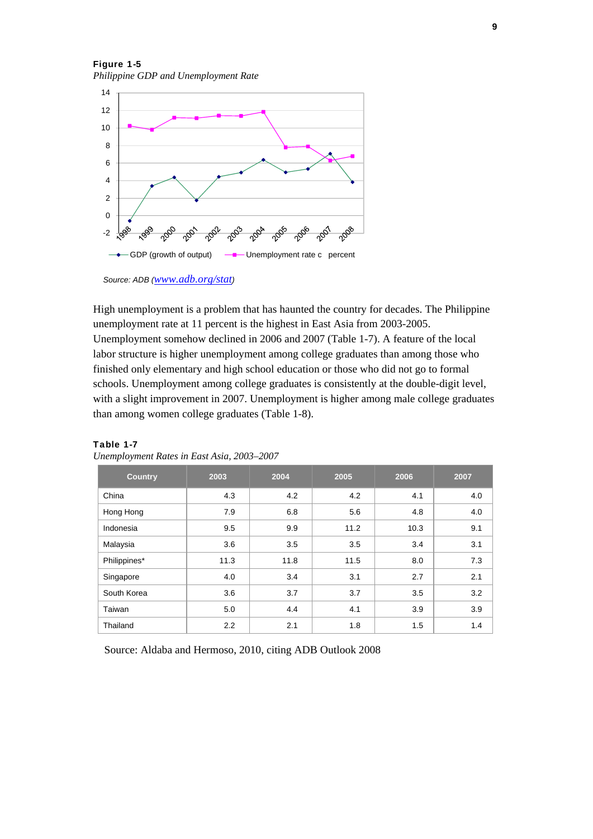Figure 1-5 *Philippine GDP and Unemployment Rate*



*Source: ADB (www.adb.org/stat)* 

High unemployment is a problem that has haunted the country for decades. The Philippine unemployment rate at 11 percent is the highest in East Asia from 2003-2005. Unemployment somehow declined in 2006 and 2007 (Table 1-7). A feature of the local labor structure is higher unemployment among college graduates than among those who finished only elementary and high school education or those who did not go to formal schools. Unemployment among college graduates is consistently at the double-digit level, with a slight improvement in 2007. Unemployment is higher among male college graduates than among women college graduates (Table 1-8).

| <b>Country</b> | 2003 | 2004 | 2005 | 2006 | 2007 |
|----------------|------|------|------|------|------|
| China          | 4.3  | 4.2  | 4.2  | 4.1  | 4.0  |
| Hong Hong      | 7.9  | 6.8  | 5.6  | 4.8  | 4.0  |
| Indonesia      | 9.5  | 9.9  | 11.2 | 10.3 | 9.1  |
| Malaysia       | 3.6  | 3.5  | 3.5  | 3.4  | 3.1  |
| Philippines*   | 11.3 | 11.8 | 11.5 | 8.0  | 7.3  |
| Singapore      | 4.0  | 3.4  | 3.1  | 2.7  | 2.1  |
| South Korea    | 3.6  | 3.7  | 3.7  | 3.5  | 3.2  |
| Taiwan         | 5.0  | 4.4  | 4.1  | 3.9  | 3.9  |
| Thailand       | 2.2  | 2.1  | 1.8  | 1.5  | 1.4  |

### Table 1-7

|  | Unemployment Rates in East Asia, 2003-2007 |  |  |  |
|--|--------------------------------------------|--|--|--|
|  |                                            |  |  |  |

Source: Aldaba and Hermoso, 2010, citing ADB Outlook 2008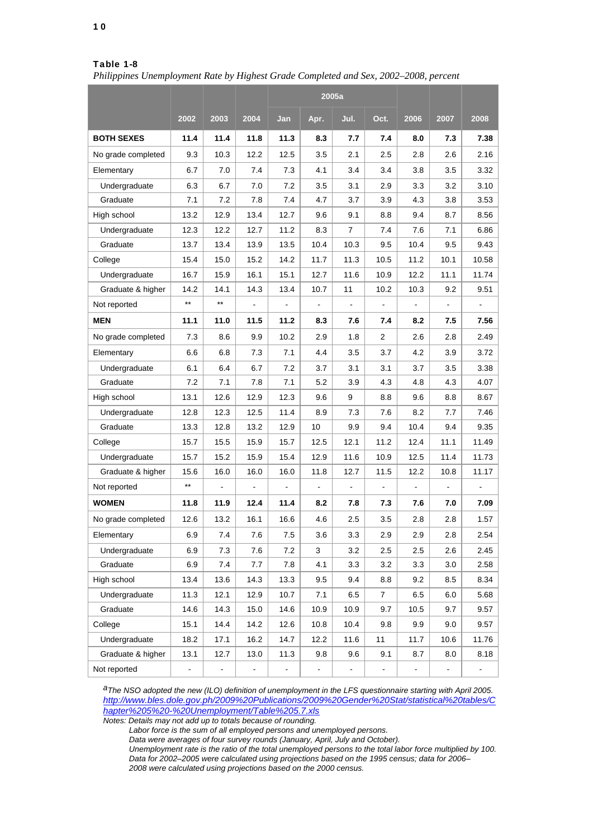10

### Table 1-8

*Philippines Unemployment Rate by Highest Grade Completed and Sex, 2002–2008, percent*

|                    |       |       |      |               | 2005a |      |      |      |      |                          |
|--------------------|-------|-------|------|---------------|-------|------|------|------|------|--------------------------|
|                    | 2002  | 2003  | 2004 | Jan           | Apr.  | Jul. | Oct. | 2006 | 2007 | 2008                     |
| <b>BOTH SEXES</b>  | 11.4  | 11.4  | 11.8 | 11.3          | 8.3   | 7.7  | 7.4  | 8.0  | 7.3  | 7.38                     |
| No grade completed | 9.3   | 10.3  | 12.2 | 12.5          | 3.5   | 2.1  | 2.5  | 2.8  | 2.6  | 2.16                     |
| Elementary         | 6.7   | 7.0   | 7.4  | 7.3           | 4.1   | 3.4  | 3.4  | 3.8  | 3.5  | 3.32                     |
| Undergraduate      | 6.3   | 6.7   | 7.0  | 7.2           | 3.5   | 3.1  | 2.9  | 3.3  | 3.2  | 3.10                     |
| Graduate           | 7.1   | 7.2   | 7.8  | 7.4           | 4.7   | 3.7  | 3.9  | 4.3  | 3.8  | 3.53                     |
| High school        | 13.2  | 12.9  | 13.4 | 12.7          | 9.6   | 9.1  | 8.8  | 9.4  | 8.7  | 8.56                     |
| Undergraduate      | 12.3  | 12.2  | 12.7 | 11.2          | 8.3   | 7    | 7.4  | 7.6  | 7.1  | 6.86                     |
| Graduate           | 13.7  | 13.4  | 13.9 | 13.5          | 10.4  | 10.3 | 9.5  | 10.4 | 9.5  | 9.43                     |
| College            | 15.4  | 15.0  | 15.2 | 14.2          | 11.7  | 11.3 | 10.5 | 11.2 | 10.1 | 10.58                    |
| Undergraduate      | 16.7  | 15.9  | 16.1 | 15.1          | 12.7  | 11.6 | 10.9 | 12.2 | 11.1 | 11.74                    |
| Graduate & higher  | 14.2  | 14.1  | 14.3 | 13.4          | 10.7  | 11   | 10.2 | 10.3 | 9.2  | 9.51                     |
| Not reported       | $***$ | $***$ |      |               |       |      |      |      |      |                          |
| <b>MEN</b>         | 11.1  | 11.0  | 11.5 | 11.2          | 8.3   | 7.6  | 7.4  | 8.2  | 7.5  | 7.56                     |
| No grade completed | 7.3   | 8.6   | 9.9  | 10.2          | 2.9   | 1.8  | 2    | 2.6  | 2.8  | 2.49                     |
| Elementary         | 6.6   | 6.8   | 7.3  | 7.1           | 4.4   | 3.5  | 3.7  | 4.2  | 3.9  | 3.72                     |
| Undergraduate      | 6.1   | 6.4   | 6.7  | 7.2           | 3.7   | 3.1  | 3.1  | 3.7  | 3.5  | 3.38                     |
| Graduate           | 7.2   | 7.1   | 7.8  | 7.1           | 5.2   | 3.9  | 4.3  | 4.8  | 4.3  | 4.07                     |
| High school        | 13.1  | 12.6  | 12.9 | 12.3          | 9.6   | 9    | 8.8  | 9.6  | 8.8  | 8.67                     |
| Undergraduate      | 12.8  | 12.3  | 12.5 | 11.4          | 8.9   | 7.3  | 7.6  | 8.2  | 7.7  | 7.46                     |
| Graduate           | 13.3  | 12.8  | 13.2 | 12.9          | 10    | 9.9  | 9.4  | 10.4 | 9.4  | 9.35                     |
| College            | 15.7  | 15.5  | 15.9 | 15.7          | 12.5  | 12.1 | 11.2 | 12.4 | 11.1 | 11.49                    |
| Undergraduate      | 15.7  | 15.2  | 15.9 | 15.4          | 12.9  | 11.6 | 10.9 | 12.5 | 11.4 | 11.73                    |
| Graduate & higher  | 15.6  | 16.0  | 16.0 | 16.0          | 11.8  | 12.7 | 11.5 | 12.2 | 10.8 | 11.17                    |
| Not reported       | $***$ |       |      |               |       |      |      |      |      |                          |
| <b>WOMEN</b>       | 11.8  | 11.9  | 12.4 | 11.4          | 8.2   | 7.8  | 7.3  | 7.6  | 7.0  | 7.09                     |
| No grade completed | 12.6  | 13.2  | 16.1 | 16.6          | 4.6   | 2.5  | 3.5  | 2.8  | 2.8  | 1.57                     |
| Elementary         | 6.9   | 7.4   | 7.6  | 7.5           | 3.6   | 3.3  | 2.9  | 2.9  | 2.8  | 2.54                     |
| Undergraduate      | 6.9   | 7.3   | 7.6  | 7.2           | 3     | 3.2  | 2.5  | 2.5  | 2.6  | 2.45                     |
| Graduate           | 6.9   | 7.4   | 7.7  | 7.8           | 4.1   | 3.3  | 3.2  | 3.3  | 3.0  | 2.58                     |
| High school        | 13.4  | 13.6  | 14.3 | 13.3          | 9.5   | 9.4  | 8.8  | 9.2  | 8.5  | 8.34                     |
| Undergraduate      | 11.3  | 12.1  | 12.9 | 10.7          | 7.1   | 6.5  | 7    | 6.5  | 6.0  | 5.68                     |
| Graduate           | 14.6  | 14.3  | 15.0 | 14.6          | 10.9  | 10.9 | 9.7  | 10.5 | 9.7  | 9.57                     |
| College            | 15.1  | 14.4  | 14.2 | 12.6          | 10.8  | 10.4 | 9.8  | 9.9  | 9.0  | 9.57                     |
| Undergraduate      | 18.2  | 17.1  | 16.2 | 14.7          | 12.2  | 11.6 | 11   | 11.7 | 10.6 | 11.76                    |
| Graduate & higher  | 13.1  | 12.7  | 13.0 | 11.3          | 9.8   | 9.6  | 9.1  | 8.7  | 8.0  | 8.18                     |
| Not reported       |       |       | -    | $\frac{1}{2}$ |       |      |      | -    |      | $\overline{\phantom{a}}$ |

*aThe NSO adopted the new (ILO) definition of unemployment in the LFS questionnaire starting with April 2005. http://www.bles.dole.gov.ph/2009%20Publications/2009%20Gender%20Stat/statistical%20tables/C hapter%205%20-%20Unemployment/Table%205.7.xls*

*Notes: Details may not add up to totals because of rounding.* 

 *Labor force is the sum of all employed persons and unemployed persons.* 

 *Data were averages of four survey rounds (January, April, July and October).* 

 *Unemployment rate is the ratio of the total unemployed persons to the total labor force multiplied by 100. Data for 2002–2005 were calculated using projections based on the 1995 census; data for 2006– 2008 were calculated using projections based on the 2000 census.*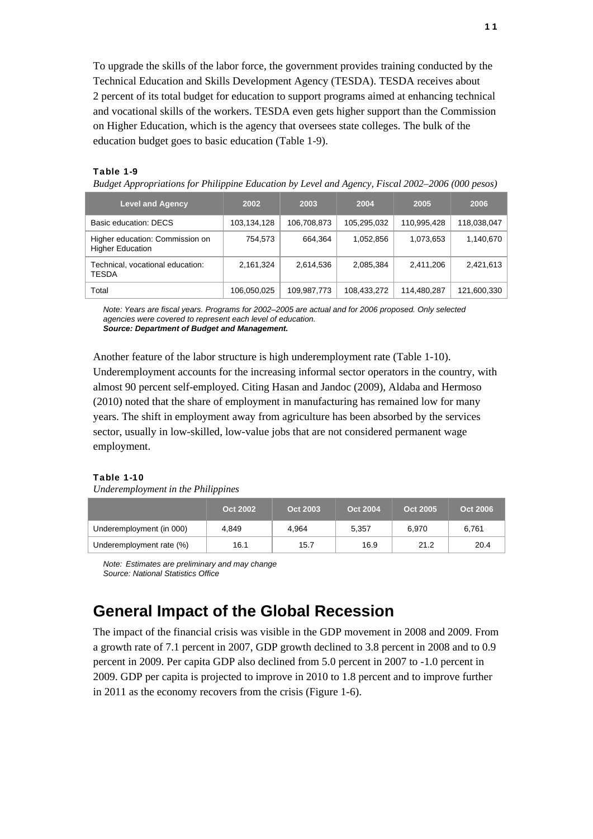To upgrade the skills of the labor force, the government provides training conducted by the Technical Education and Skills Development Agency (TESDA). TESDA receives about 2 percent of its total budget for education to support programs aimed at enhancing technical and vocational skills of the workers. TESDA even gets higher support than the Commission on Higher Education, which is the agency that oversees state colleges. The bulk of the education budget goes to basic education (Table 1-9).

### Table 1-9

*Budget Appropriations for Philippine Education by Level and Agency, Fiscal 2002–2006 (000 pesos)*

| <b>Level and Agency</b>                                    | 2002        | 2003        | 2004        | 2005        | 2006        |
|------------------------------------------------------------|-------------|-------------|-------------|-------------|-------------|
| Basic education: DECS                                      | 103,134,128 | 106,708,873 | 105,295,032 | 110,995,428 | 118,038,047 |
| Higher education: Commission on<br><b>Higher Education</b> | 754,573     | 664.364     | 1,052,856   | 1,073,653   | 1,140,670   |
| Technical, vocational education:<br><b>TESDA</b>           | 2,161,324   | 2,614,536   | 2,085,384   | 2,411,206   | 2,421,613   |
| Total                                                      | 106,050,025 | 109,987,773 | 108,433,272 | 114,480,287 | 121,600,330 |

*Note: Years are fiscal years. Programs for 2002–2005 are actual and for 2006 proposed. Only selected agencies were covered to represent each level of education. Source: Department of Budget and Management.* 

Another feature of the labor structure is high underemployment rate (Table 1-10). Underemployment accounts for the increasing informal sector operators in the country, with almost 90 percent self-employed. Citing Hasan and Jandoc (2009), Aldaba and Hermoso (2010) noted that the share of employment in manufacturing has remained low for many years. The shift in employment away from agriculture has been absorbed by the services sector, usually in low-skilled, low-value jobs that are not considered permanent wage employment.

### Table 1-10

*Underemployment in the Philippines*

|                          | Oct 2002 | Oct 2003 | Oct 2004 | Oct 2005 | Oct 2006 |
|--------------------------|----------|----------|----------|----------|----------|
| Underemployment (in 000) | 4.849    | 4.964    | 5.357    | 6.970    | 6.761    |
| Underemployment rate (%) | 16.1     | 15.7     | 16.9     | 21.2     | 20.4     |

*Note: Estimates are preliminary and may change Source: National Statistics Office*

## **General Impact of the Global Recession**

The impact of the financial crisis was visible in the GDP movement in 2008 and 2009. From a growth rate of 7.1 percent in 2007, GDP growth declined to 3.8 percent in 2008 and to 0.9 percent in 2009. Per capita GDP also declined from 5.0 percent in 2007 to -1.0 percent in 2009. GDP per capita is projected to improve in 2010 to 1.8 percent and to improve further in 2011 as the economy recovers from the crisis (Figure 1-6).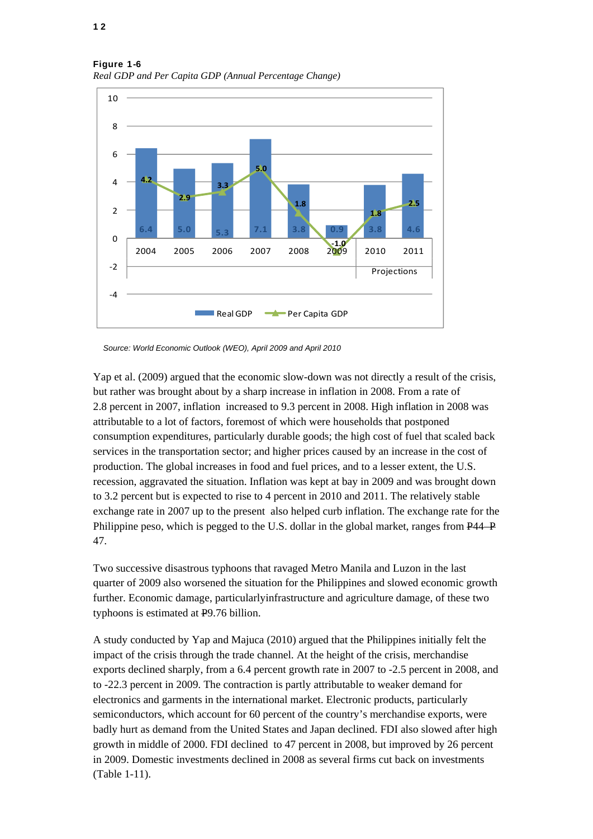

Figure 1-6 *Real GDP and Per Capita GDP (Annual Percentage Change)*

*Source: World Economic Outlook (WEO), April 2009 and April 2010* 

Yap et al. (2009) argued that the economic slow-down was not directly a result of the crisis, but rather was brought about by a sharp increase in inflation in 2008. From a rate of 2.8 percent in 2007, inflation increased to 9.3 percent in 2008. High inflation in 2008 was attributable to a lot of factors, foremost of which were households that postponed consumption expenditures, particularly durable goods; the high cost of fuel that scaled back services in the transportation sector; and higher prices caused by an increase in the cost of production. The global increases in food and fuel prices, and to a lesser extent, the U.S. recession, aggravated the situation. Inflation was kept at bay in 2009 and was brought down to 3.2 percent but is expected to rise to 4 percent in 2010 and 2011. The relatively stable exchange rate in 2007 up to the present also helped curb inflation. The exchange rate for the Philippine peso, which is pegged to the U.S. dollar in the global market, ranges from P44–P 47.

Two successive disastrous typhoons that ravaged Metro Manila and Luzon in the last quarter of 2009 also worsened the situation for the Philippines and slowed economic growth further. Economic damage, particularlyinfrastructure and agriculture damage, of these two typhoons is estimated at P9.76 billion.

A study conducted by Yap and Majuca (2010) argued that the Philippines initially felt the impact of the crisis through the trade channel. At the height of the crisis, merchandise exports declined sharply, from a 6.4 percent growth rate in 2007 to -2.5 percent in 2008, and to -22.3 percent in 2009. The contraction is partly attributable to weaker demand for electronics and garments in the international market. Electronic products, particularly semiconductors, which account for 60 percent of the country's merchandise exports, were badly hurt as demand from the United States and Japan declined. FDI also slowed after high growth in middle of 2000. FDI declined to 47 percent in 2008, but improved by 26 percent in 2009. Domestic investments declined in 2008 as several firms cut back on investments (Table 1-11).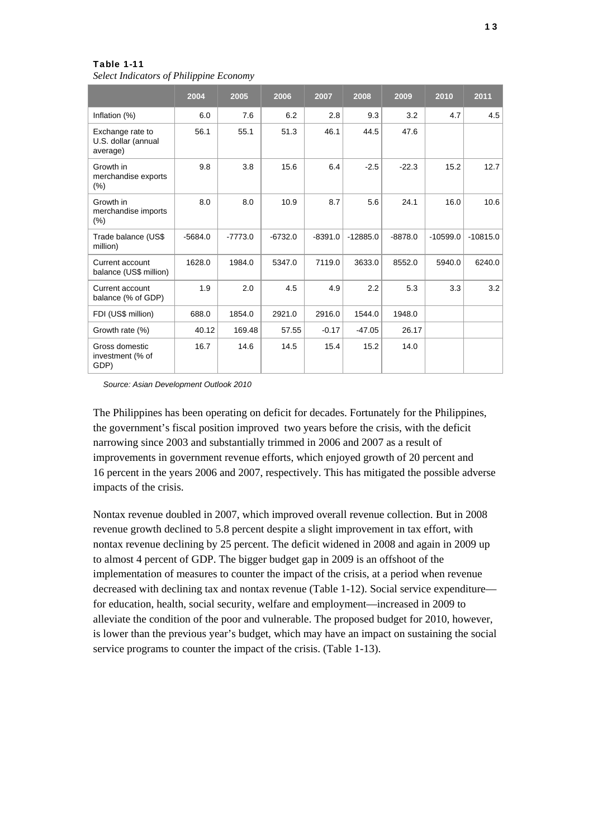*Select Indicators of Philippine Economy*

|                                                     | 2004      | 2005      | 2006      | 2007      | 2008       | 2009      | 2010       | 2011       |
|-----------------------------------------------------|-----------|-----------|-----------|-----------|------------|-----------|------------|------------|
| Inflation (%)                                       | 6.0       | 7.6       | 6.2       | 2.8       | 9.3        | 3.2       | 4.7        | 4.5        |
| Exchange rate to<br>U.S. dollar (annual<br>average) | 56.1      | 55.1      | 51.3      | 46.1      | 44.5       | 47.6      |            |            |
| Growth in<br>merchandise exports<br>$(\%)$          | 9.8       | 3.8       | 15.6      | 6.4       | $-2.5$     | $-22.3$   | 15.2       | 12.7       |
| Growth in<br>merchandise imports<br>$(\% )$         | 8.0       | 8.0       | 10.9      | 8.7       | 5.6        | 24.1      | 16.0       | 10.6       |
| Trade balance (US\$<br>million)                     | $-5684.0$ | $-7773.0$ | $-6732.0$ | $-8391.0$ | $-12885.0$ | $-8878.0$ | $-10599.0$ | $-10815.0$ |
| Current account<br>balance (US\$ million)           | 1628.0    | 1984.0    | 5347.0    | 7119.0    | 3633.0     | 8552.0    | 5940.0     | 6240.0     |
| Current account<br>balance (% of GDP)               | 1.9       | 2.0       | 4.5       | 4.9       | 2.2        | 5.3       | 3.3        | 3.2        |
| FDI (US\$ million)                                  | 688.0     | 1854.0    | 2921.0    | 2916.0    | 1544.0     | 1948.0    |            |            |
| Growth rate (%)                                     | 40.12     | 169.48    | 57.55     | $-0.17$   | $-47.05$   | 26.17     |            |            |
| Gross domestic<br>investment (% of<br>GDP)          | 16.7      | 14.6      | 14.5      | 15.4      | 15.2       | 14.0      |            |            |

*Source: Asian Development Outlook 2010*

The Philippines has been operating on deficit for decades. Fortunately for the Philippines, the government's fiscal position improved two years before the crisis, with the deficit narrowing since 2003 and substantially trimmed in 2006 and 2007 as a result of improvements in government revenue efforts, which enjoyed growth of 20 percent and 16 percent in the years 2006 and 2007, respectively. This has mitigated the possible adverse impacts of the crisis.

Nontax revenue doubled in 2007, which improved overall revenue collection. But in 2008 revenue growth declined to 5.8 percent despite a slight improvement in tax effort, with nontax revenue declining by 25 percent. The deficit widened in 2008 and again in 2009 up to almost 4 percent of GDP. The bigger budget gap in 2009 is an offshoot of the implementation of measures to counter the impact of the crisis, at a period when revenue decreased with declining tax and nontax revenue (Table 1-12). Social service expenditure for education, health, social security, welfare and employment—increased in 2009 to alleviate the condition of the poor and vulnerable. The proposed budget for 2010, however, is lower than the previous year's budget, which may have an impact on sustaining the social service programs to counter the impact of the crisis. (Table 1-13).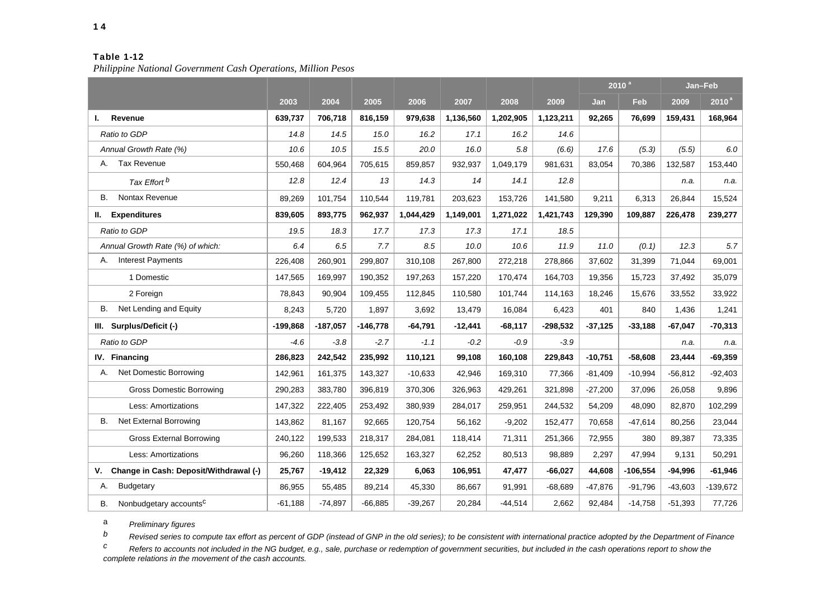*Philippine National Government Cash Operations, Million Pesos*

|                                              |            |            |            |           |           |           |            | 2010 <sup>a</sup> |            |           | Jan-Feb           |
|----------------------------------------------|------------|------------|------------|-----------|-----------|-----------|------------|-------------------|------------|-----------|-------------------|
|                                              | 2003       | 2004       | 2005       | 2006      | 2007      | 2008      | 2009       | Jan               | <b>Feb</b> | 2009      | 2010 <sup>a</sup> |
| Revenue<br>ı.                                | 639,737    | 706,718    | 816,159    | 979,638   | 1,136,560 | 1,202,905 | 1,123,211  | 92,265            | 76,699     | 159,431   | 168,964           |
| Ratio to GDP                                 | 14.8       | 14.5       | 15.0       | 16.2      | 17.1      | 16.2      | 14.6       |                   |            |           |                   |
| Annual Growth Rate (%)                       | 10.6       | 10.5       | 15.5       | 20.0      | 16.0      | 5.8       | (6.6)      | 17.6              | (5.3)      | (5.5)     | 6.0               |
| <b>Tax Revenue</b><br>А.                     | 550,468    | 604,964    | 705,615    | 859,857   | 932,937   | 1,049,179 | 981,631    | 83,054            | 70,386     | 132,587   | 153,440           |
| Tax Effort <sup>b</sup>                      | 12.8       | 12.4       | 13         | 14.3      | 14        | 14.1      | 12.8       |                   |            | n.a.      | n.a.              |
| Nontax Revenue<br>В.                         | 89,269     | 101,754    | 110,544    | 119,781   | 203,623   | 153,726   | 141,580    | 9,211             | 6,313      | 26,844    | 15,524            |
| <b>Expenditures</b><br>П.                    | 839,605    | 893,775    | 962,937    | 1,044,429 | 1,149,001 | 1,271,022 | 1,421,743  | 129,390           | 109,887    | 226,478   | 239,277           |
| Ratio to GDP                                 | 19.5       | 18.3       | 17.7       | 17.3      | 17.3      | 17.1      | 18.5       |                   |            |           |                   |
| Annual Growth Rate (%) of which:             | 6.4        | 6.5        | 7.7        | 8.5       | 10.0      | 10.6      | 11.9       | 11.0              | (0.1)      | 12.3      | 5.7               |
| <b>Interest Payments</b><br>А.               | 226,408    | 260,901    | 299,807    | 310,108   | 267,800   | 272,218   | 278,866    | 37,602            | 31,399     | 71,044    | 69,001            |
| 1 Domestic                                   | 147,565    | 169.997    | 190,352    | 197.263   | 157,220   | 170,474   | 164,703    | 19,356            | 15,723     | 37,492    | 35,079            |
| 2 Foreign                                    | 78,843     | 90,904     | 109,455    | 112,845   | 110,580   | 101,744   | 114,163    | 18,246            | 15,676     | 33,552    | 33,922            |
| Net Lending and Equity<br>В.                 | 8,243      | 5,720      | 1,897      | 3,692     | 13,479    | 16,084    | 6,423      | 401               | 840        | 1,436     | 1,241             |
| III. Surplus/Deficit (-)                     | $-199,868$ | $-187,057$ | $-146,778$ | $-64,791$ | $-12,441$ | $-68,117$ | $-298,532$ | $-37,125$         | $-33,188$  | $-67,047$ | $-70,313$         |
| Ratio to GDP                                 | $-4.6$     | $-3.8$     | $-2.7$     | $-1.1$    | $-0.2$    | $-0.9$    | $-3.9$     |                   |            | n.a.      | n.a.              |
| IV. Financing                                | 286,823    | 242,542    | 235,992    | 110,121   | 99,108    | 160,108   | 229,843    | $-10,751$         | $-58,608$  | 23,444    | $-69,359$         |
| Net Domestic Borrowing<br>А.                 | 142,961    | 161,375    | 143,327    | $-10,633$ | 42,946    | 169,310   | 77,366     | $-81,409$         | $-10,994$  | $-56,812$ | $-92,403$         |
| <b>Gross Domestic Borrowing</b>              | 290,283    | 383,780    | 396,819    | 370,306   | 326,963   | 429,261   | 321,898    | $-27,200$         | 37,096     | 26,058    | 9,896             |
| Less: Amortizations                          | 147,322    | 222,405    | 253,492    | 380,939   | 284,017   | 259,951   | 244,532    | 54,209            | 48,090     | 82,870    | 102,299           |
| Net External Borrowing<br>В.                 | 143,862    | 81,167     | 92,665     | 120,754   | 56,162    | $-9,202$  | 152,477    | 70,658            | $-47,614$  | 80,256    | 23,044            |
| <b>Gross External Borrowing</b>              | 240,122    | 199,533    | 218,317    | 284,081   | 118,414   | 71,311    | 251,366    | 72,955            | 380        | 89,387    | 73,335            |
| Less: Amortizations                          | 96,260     | 118,366    | 125,652    | 163,327   | 62,252    | 80,513    | 98,889     | 2,297             | 47,994     | 9,131     | 50,291            |
| Change in Cash: Deposit/Withdrawal (-)<br>۷. | 25,767     | $-19,412$  | 22,329     | 6,063     | 106,951   | 47,477    | $-66,027$  | 44,608            | $-106,554$ | $-94,996$ | $-61,946$         |
| Budgetary<br>А.                              | 86,955     | 55.485     | 89,214     | 45,330    | 86.667    | 91,991    | -68.689    | $-47.876$         | $-91,796$  | $-43.603$ | $-139,672$        |
| Nonbudgetary accounts <sup>c</sup><br>В.     | $-61,188$  | $-74,897$  | $-66,885$  | $-39,267$ | 20,284    | $-44,514$ | 2,662      | 92,484            | $-14,758$  | $-51,393$ | 77,726            |

<sup>a</sup> *Preliminary figures* 

*b Revised series to compute tax effort as percent of GDP (instead of GNP in the old series); to be consistent with international practice adopted by the Department of Finance* 

*c Refers to accounts not included in the NG budget, e.g., sale, purchase or redemption of government securities, but included in the cash operations report to show the complete relations in the movement of the cash accounts.*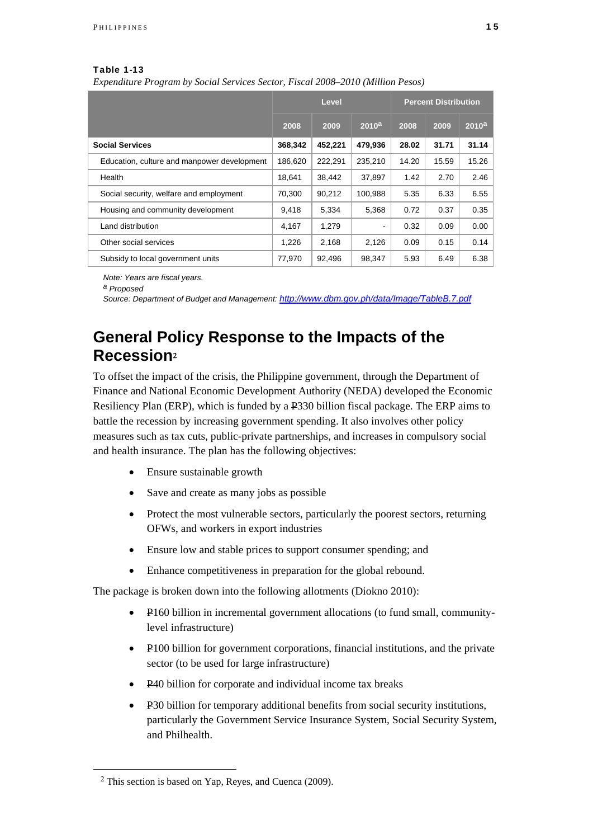*Expenditure Program by Social Services Sector, Fiscal 2008–2010 (Million Pesos)*

|                                             |         | Level   |                   | <b>Percent Distribution</b> |       |                   |  |  |
|---------------------------------------------|---------|---------|-------------------|-----------------------------|-------|-------------------|--|--|
|                                             | 2008    | 2009    | 2010 <sup>a</sup> | 2008                        | 2009  | 2010 <sup>a</sup> |  |  |
| <b>Social Services</b>                      | 368,342 | 452,221 | 479,936           | 28.02                       | 31.71 | 31.14             |  |  |
| Education, culture and manpower development | 186.620 | 222,291 | 235,210           | 14.20                       | 15.59 | 15.26             |  |  |
| Health                                      | 18.641  | 38,442  | 37,897            | 1.42                        | 2.70  | 2.46              |  |  |
| Social security, welfare and employment     | 70,300  | 90.212  | 100,988           | 5.35                        | 6.33  | 6.55              |  |  |
| Housing and community development           | 9,418   | 5,334   | 5,368             | 0.72                        | 0.37  | 0.35              |  |  |
| Land distribution                           | 4,167   | 1,279   | $\blacksquare$    | 0.32                        | 0.09  | 0.00              |  |  |
| Other social services                       | 1,226   | 2,168   | 2,126             | 0.09                        | 0.15  | 0.14              |  |  |
| Subsidy to local government units           | 77,970  | 92,496  | 98,347            | 5.93                        | 6.49  | 6.38              |  |  |

*Note: Years are fiscal years.* 

*a Proposed* 

*Source: Department of Budget and Management: http://www.dbm.gov.ph/data/Image/TableB.7.pdf*

# **General Policy Response to the Impacts of the Recession**<sup>2</sup>

To offset the impact of the crisis, the Philippine government, through the Department of Finance and National Economic Development Authority (NEDA) developed the Economic Resiliency Plan (ERP), which is funded by a P330 billion fiscal package. The ERP aims to battle the recession by increasing government spending. It also involves other policy measures such as tax cuts, public-private partnerships, and increases in compulsory social and health insurance. The plan has the following objectives:

- Ensure sustainable growth
- Save and create as many jobs as possible
- Protect the most vulnerable sectors, particularly the poorest sectors, returning OFWs, and workers in export industries
- Ensure low and stable prices to support consumer spending; and
- Enhance competitiveness in preparation for the global rebound.

The package is broken down into the following allotments (Diokno 2010):

- P160 billion in incremental government allocations (to fund small, communitylevel infrastructure)
- P100 billion for government corporations, financial institutions, and the private sector (to be used for large infrastructure)
- P40 billion for corporate and individual income tax breaks
- P30 billion for temporary additional benefits from social security institutions, particularly the Government Service Insurance System, Social Security System, and Philhealth.

l

<sup>2</sup> This section is based on Yap, Reyes, and Cuenca (2009).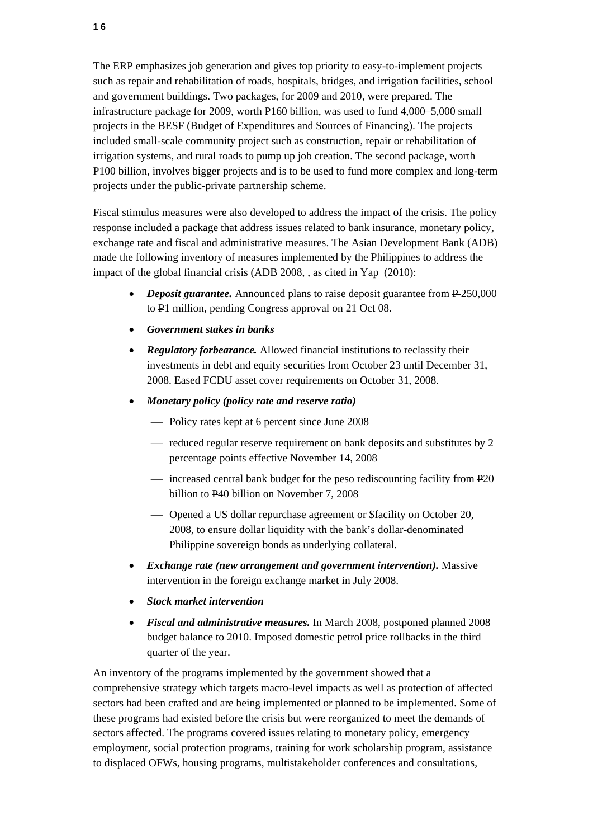The ERP emphasizes job generation and gives top priority to easy-to-implement projects such as repair and rehabilitation of roads, hospitals, bridges, and irrigation facilities, school and government buildings. Two packages, for 2009 and 2010, were prepared. The infrastructure package for 2009, worth P160 billion, was used to fund 4,000–5,000 small projects in the BESF (Budget of Expenditures and Sources of Financing). The projects included small-scale community project such as construction, repair or rehabilitation of irrigation systems, and rural roads to pump up job creation. The second package, worth P100 billion, involves bigger projects and is to be used to fund more complex and long-term projects under the public-private partnership scheme.

Fiscal stimulus measures were also developed to address the impact of the crisis. The policy response included a package that address issues related to bank insurance, monetary policy, exchange rate and fiscal and administrative measures. The Asian Development Bank (ADB) made the following inventory of measures implemented by the Philippines to address the impact of the global financial crisis (ADB 2008, , as cited in Yap (2010):

- *Deposit guarantee*. Announced plans to raise deposit guarantee from P-250,000 to P1 million, pending Congress approval on 21 Oct 08.
- *Government stakes in banks*
- *Regulatory forbearance.* Allowed financial institutions to reclassify their investments in debt and equity securities from October 23 until December 31, 2008. Eased FCDU asset cover requirements on October 31, 2008.
- *Monetary policy (policy rate and reserve ratio)*
	- Policy rates kept at 6 percent since June 2008
	- reduced regular reserve requirement on bank deposits and substitutes by 2 percentage points effective November 14, 2008
	- $\frac{1}{2}$  increased central bank budget for the peso rediscounting facility from P20 billion to P40 billion on November 7, 2008
	- Opened a US dollar repurchase agreement or \$facility on October 20, 2008, to ensure dollar liquidity with the bank's dollar-denominated Philippine sovereign bonds as underlying collateral.
- *Exchange rate (new arrangement and government intervention).* Massive intervention in the foreign exchange market in July 2008.
- *Stock market intervention*
- *Fiscal and administrative measures.* In March 2008, postponed planned 2008 budget balance to 2010. Imposed domestic petrol price rollbacks in the third quarter of the year.

An inventory of the programs implemented by the government showed that a comprehensive strategy which targets macro-level impacts as well as protection of affected sectors had been crafted and are being implemented or planned to be implemented. Some of these programs had existed before the crisis but were reorganized to meet the demands of sectors affected. The programs covered issues relating to monetary policy, emergency employment, social protection programs, training for work scholarship program, assistance to displaced OFWs, housing programs, multistakeholder conferences and consultations,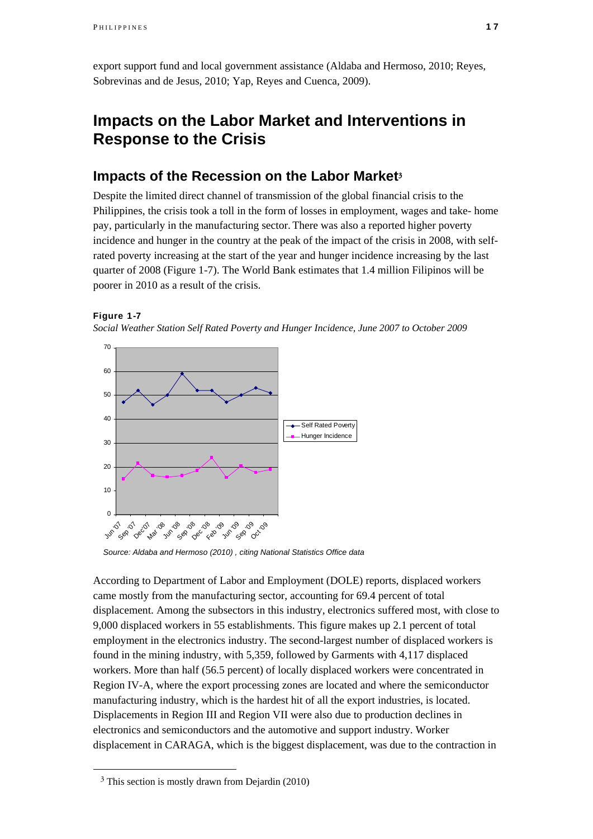export support fund and local government assistance (Aldaba and Hermoso, 2010; Reyes, Sobrevinas and de Jesus, 2010; Yap, Reyes and Cuenca, 2009).

## **Impacts on the Labor Market and Interventions in Response to the Crisis**

### **Impacts of the Recession on the Labor Market**<sup>3</sup>

Despite the limited direct channel of transmission of the global financial crisis to the Philippines, the crisis took a toll in the form of losses in employment, wages and take- home pay, particularly in the manufacturing sector. There was also a reported higher poverty incidence and hunger in the country at the peak of the impact of the crisis in 2008, with selfrated poverty increasing at the start of the year and hunger incidence increasing by the last quarter of 2008 (Figure 1-7). The World Bank estimates that 1.4 million Filipinos will be poorer in 2010 as a result of the crisis.

### Figure 1-7





*Source: Aldaba and Hermoso (2010) , citing National Statistics Office data* 

According to Department of Labor and Employment (DOLE) reports, displaced workers came mostly from the manufacturing sector, accounting for 69.4 percent of total displacement. Among the subsectors in this industry, electronics suffered most, with close to 9,000 displaced workers in 55 establishments. This figure makes up 2.1 percent of total employment in the electronics industry. The second-largest number of displaced workers is found in the mining industry, with 5,359, followed by Garments with 4,117 displaced workers. More than half (56.5 percent) of locally displaced workers were concentrated in Region IV-A, where the export processing zones are located and where the semiconductor manufacturing industry, which is the hardest hit of all the export industries, is located. Displacements in Region III and Region VII were also due to production declines in electronics and semiconductors and the automotive and support industry. Worker displacement in CARAGA, which is the biggest displacement, was due to the contraction in

l

<sup>3</sup> This section is mostly drawn from Dejardin (2010)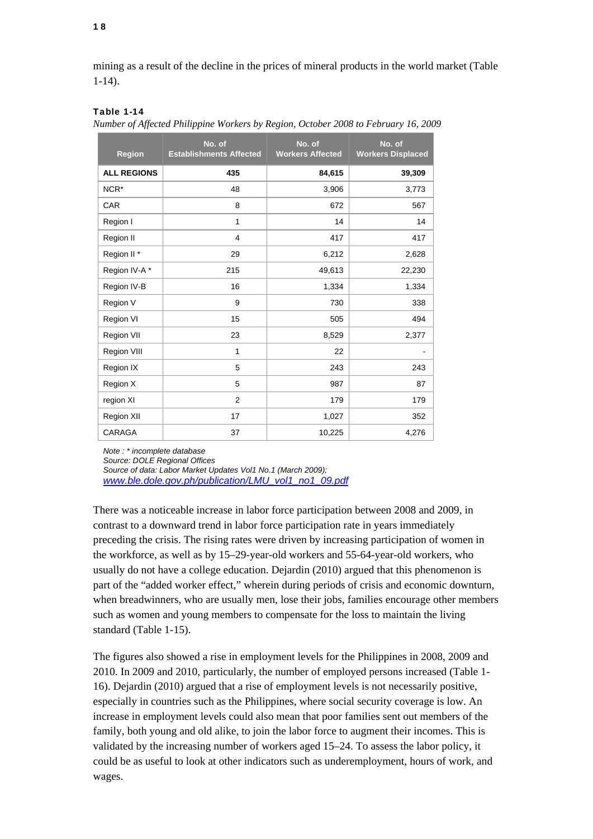mining as a result of the decline in the prices of mineral products in the world market (Table 1-14).

### Table 1-14

|  |  | Number of Affected Philippine Workers by Region, October 2008 to February 16, 2009 |  |  |  |
|--|--|------------------------------------------------------------------------------------|--|--|--|
|  |  |                                                                                    |  |  |  |

| <b>Region</b>          | No. of<br><b>Establishments Affected</b> | No. of<br><b>Workers Affected</b> | No. of<br><b>Workers Displaced</b> |
|------------------------|------------------------------------------|-----------------------------------|------------------------------------|
| <b>ALL REGIONS</b>     | 435                                      | 84,615                            | 39,309                             |
| NCR <sup>*</sup>       | 48                                       | 3,906                             | 3,773                              |
| CAR                    | 8                                        | 672                               | 567                                |
| Region I               | $\mathbf{1}$                             | 14                                | 14                                 |
| Region II              | $\overline{4}$                           | 417                               | 417                                |
| Region II <sup>*</sup> | 29                                       | 6,212                             | 2,628                              |
| Region IV-A*           | 215                                      | 49,613                            | 22,230                             |
| Region IV-B            | 16                                       | 1,334                             | 1,334                              |
| Region V               | 9                                        | 730                               | 338                                |
| Region VI              | 15                                       | 505                               | 494                                |
| Region VII             | 23                                       | 8,529                             | 2,377                              |
| Region VIII            | 1                                        | 22                                |                                    |
| Region IX              | 5                                        | 243                               | 243                                |
| Region X               | 5                                        | 987                               | 87                                 |
| region XI              | $\overline{2}$                           | 179                               | 179                                |
| Region XII             | 17                                       | 1,027                             | 352                                |
| CARAGA                 | 37                                       | 10,225                            | 4,276                              |

*Note : \* incomplete database* 

*Source: DOLE Regional Offices* 

*Source of data: Labor Market Updates Vol1 No.1 (March 2009); www.ble.dole.gov.ph/publication/LMU\_vol1\_no1\_09.pdf*

There was a noticeable increase in labor force participation between 2008 and 2009, in contrast to a downward trend in labor force participation rate in years immediately preceding the crisis. The rising rates were driven by increasing participation of women in the workforce, as well as by 15–29-year-old workers and 55-64-year-old workers, who usually do not have a college education. Dejardin (2010) argued that this phenomenon is part of the "added worker effect," wherein during periods of crisis and economic downturn, when breadwinners, who are usually men, lose their jobs, families encourage other members such as women and young members to compensate for the loss to maintain the living standard (Table 1-15).

The figures also showed a rise in employment levels for the Philippines in 2008, 2009 and 2010. In 2009 and 2010, particularly, the number of employed persons increased (Table 1- 16). Dejardin (2010) argued that a rise of employment levels is not necessarily positive, especially in countries such as the Philippines, where social security coverage is low. An increase in employment levels could also mean that poor families sent out members of the family, both young and old alike, to join the labor force to augment their incomes. This is validated by the increasing number of workers aged 15–24. To assess the labor policy, it could be as useful to look at other indicators such as underemployment, hours of work, and wages.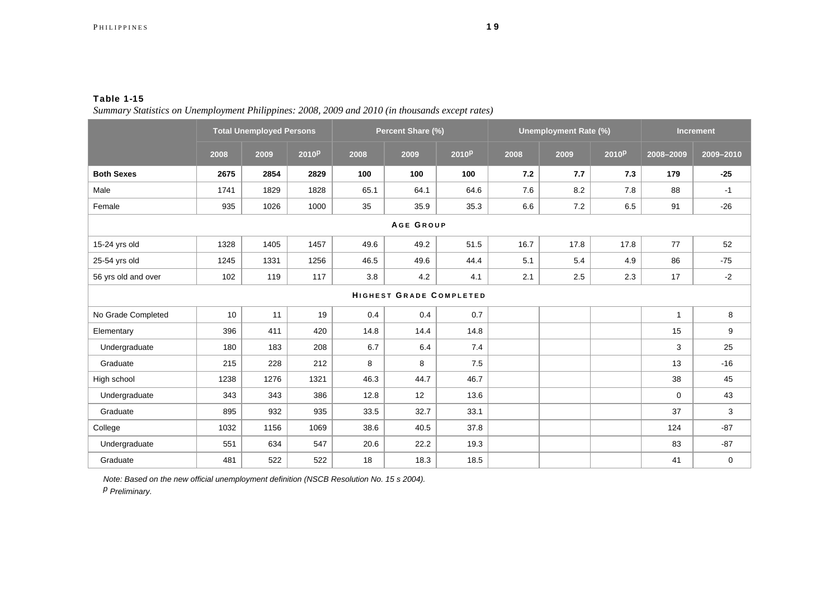*Summary Statistics on Unemployment Philippines: 2008, 2009 and 2010 (in thousands except rates)*

|                                |      | <b>Total Unemployed Persons</b> |                   |      | Percent Share (%) |                   |      | <b>Unemployment Rate (%)</b> |                   | <b>Increment</b> |           |
|--------------------------------|------|---------------------------------|-------------------|------|-------------------|-------------------|------|------------------------------|-------------------|------------------|-----------|
|                                | 2008 | 2009                            | 2010 <sup>p</sup> | 2008 | 2009              | 2010 <sup>p</sup> | 2008 | 2009                         | 2010 <sup>p</sup> | 2008-2009        | 2009-2010 |
| <b>Both Sexes</b>              | 2675 | 2854                            | 2829              | 100  | 100               | 100               | 7.2  | 7.7                          | 7.3               | 179              | $-25$     |
| Male                           | 1741 | 1829                            | 1828              | 65.1 | 64.1              | 64.6              | 7.6  | 8.2                          | 7.8               | 88               | $-1$      |
| Female                         | 935  | 1026                            | 1000              | 35   | 35.9              | 35.3              | 6.6  | 7.2                          | 6.5               | 91               | $-26$     |
| AGE GROUP                      |      |                                 |                   |      |                   |                   |      |                              |                   |                  |           |
| 15-24 yrs old                  | 1328 | 1405                            | 1457              | 49.6 | 49.2              | 51.5              | 16.7 | 17.8                         | 17.8              | 77               | 52        |
| 25-54 yrs old                  | 1245 | 1331                            | 1256              | 46.5 | 49.6              | 44.4              | 5.1  | 5.4                          | 4.9               | 86               | $-75$     |
| 56 yrs old and over            | 102  | 119                             | 117               | 3.8  | 4.2               | 4.1               | 2.1  | 2.5                          | 2.3               | 17               | $-2$      |
| <b>HIGHEST GRADE COMPLETED</b> |      |                                 |                   |      |                   |                   |      |                              |                   |                  |           |
| No Grade Completed             | 10   | 11                              | 19                | 0.4  | 0.4               | 0.7               |      |                              |                   | $\mathbf{1}$     | 8         |
| Elementary                     | 396  | 411                             | 420               | 14.8 | 14.4              | 14.8              |      |                              |                   | 15               | 9         |
| Undergraduate                  | 180  | 183                             | 208               | 6.7  | 6.4               | 7.4               |      |                              |                   | 3                | 25        |
| Graduate                       | 215  | 228                             | 212               | 8    | 8                 | 7.5               |      |                              |                   | 13               | $-16$     |
| High school                    | 1238 | 1276                            | 1321              | 46.3 | 44.7              | 46.7              |      |                              |                   | 38               | 45        |
| Undergraduate                  | 343  | 343                             | 386               | 12.8 | 12                | 13.6              |      |                              |                   | $\mathbf 0$      | 43        |
| Graduate                       | 895  | 932                             | 935               | 33.5 | 32.7              | 33.1              |      |                              |                   | 37               | 3         |
| College                        | 1032 | 1156                            | 1069              | 38.6 | 40.5              | 37.8              |      |                              |                   | 124              | $-87$     |
| Undergraduate                  | 551  | 634                             | 547               | 20.6 | 22.2              | 19.3              |      |                              |                   | 83               | $-87$     |
| Graduate                       | 481  | 522                             | 522               | 18   | 18.3              | 18.5              |      |                              |                   | 41               | 0         |

*Note: Based on the new official unemployment definition (NSCB Resolution No. 15 s 2004).* 

*p Preliminary.*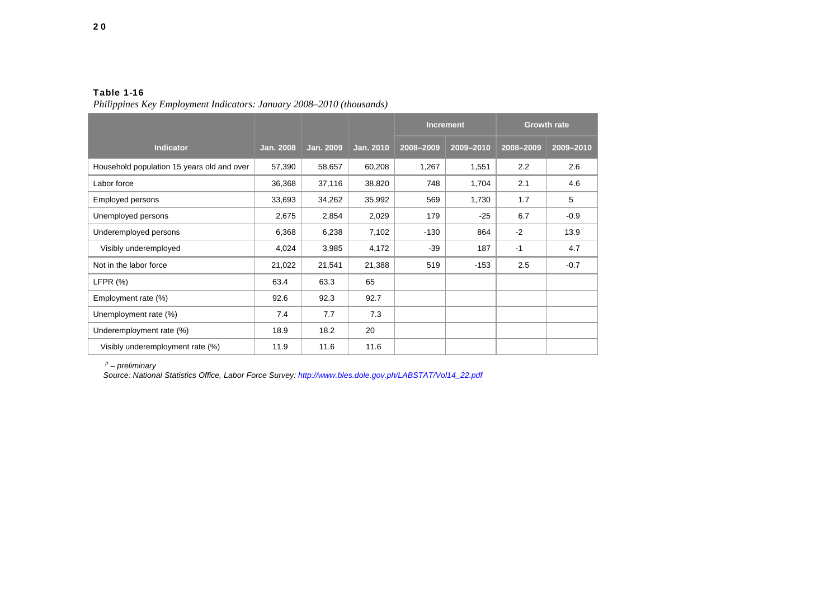|                                            |                  |                  |           | <b>Increment</b> |           | <b>Growth rate</b> |           |  |
|--------------------------------------------|------------------|------------------|-----------|------------------|-----------|--------------------|-----------|--|
| <b>Indicator</b>                           | <b>Jan. 2008</b> | <b>Jan. 2009</b> | Jan. 2010 | 2008-2009        | 2009-2010 | 2008-2009          | 2009-2010 |  |
| Household population 15 years old and over | 57,390           | 58,657           | 60,208    | 1,267            | 1,551     | 2.2                | 2.6       |  |
| Labor force                                | 36,368           | 37,116           | 38,820    | 748              | 1,704     | 2.1                | 4.6       |  |
| Employed persons                           | 33,693           | 34,262           | 35,992    | 569              | 1,730     | 1.7                | 5         |  |
| Unemployed persons                         | 2,675            | 2,854            | 2,029     | 179              | $-25$     | 6.7                | $-0.9$    |  |
| Underemployed persons                      | 6,368            | 6,238            | 7,102     | $-130$           | 864       | $-2$               | 13.9      |  |
| Visibly underemployed                      | 4,024            | 3,985            | 4,172     | $-39$            | 187       | $-1$               | 4.7       |  |
| Not in the labor force                     | 21,022           | 21,541           | 21,388    | 519              | $-153$    | 2.5                | $-0.7$    |  |
| LFPR $(%)$                                 | 63.4             | 63.3             | 65        |                  |           |                    |           |  |
| Employment rate (%)                        | 92.6             | 92.3             | 92.7      |                  |           |                    |           |  |
| Unemployment rate (%)                      | 7.4              | 7.7              | 7.3       |                  |           |                    |           |  |
| Underemployment rate (%)                   | 18.9             | 18.2             | 20        |                  |           |                    |           |  |
| Visibly underemployment rate (%)           | 11.9             | 11.6             | 11.6      |                  |           |                    |           |  |

*Philippines Key Employment Indicators: January 2008–2010 (thousands)*

*p – preliminary* 

*Source: National Statistics Office, Labor Force Survey: http://www.bles.dole.gov.ph/LABSTAT/Vol14\_22.pdf*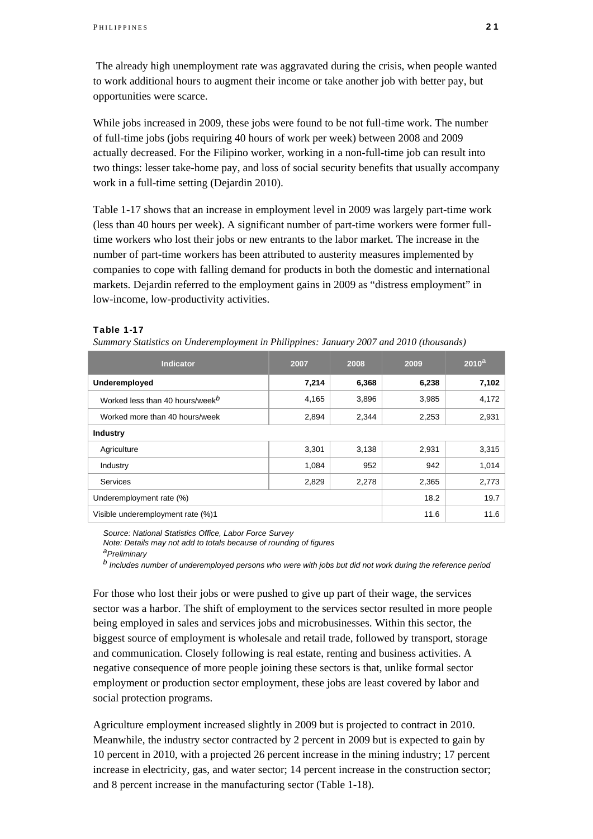The already high unemployment rate was aggravated during the crisis, when people wanted to work additional hours to augment their income or take another job with better pay, but opportunities were scarce.

While jobs increased in 2009, these jobs were found to be not full-time work. The number of full-time jobs (jobs requiring 40 hours of work per week) between 2008 and 2009 actually decreased. For the Filipino worker, working in a non-full-time job can result into two things: lesser take-home pay, and loss of social security benefits that usually accompany work in a full-time setting (Dejardin 2010).

Table 1-17 shows that an increase in employment level in 2009 was largely part-time work (less than 40 hours per week). A significant number of part-time workers were former fulltime workers who lost their jobs or new entrants to the labor market. The increase in the number of part-time workers has been attributed to austerity measures implemented by companies to cope with falling demand for products in both the domestic and international markets. Dejardin referred to the employment gains in 2009 as "distress employment" in low-income, low-productivity activities.

### Table 1-17

| Summary Statistics on Underemployment in Philippines: January 2007 and 2010 (thousands) |  |
|-----------------------------------------------------------------------------------------|--|
|-----------------------------------------------------------------------------------------|--|

| <b>Indicator</b>                            | 2007  | 2008  | 2009  | 2010 <sup>a</sup> |
|---------------------------------------------|-------|-------|-------|-------------------|
| Underemployed                               | 7,214 | 6,368 | 6,238 | 7,102             |
| Worked less than 40 hours/week <sup>b</sup> | 4,165 | 3,896 | 3,985 | 4,172             |
| Worked more than 40 hours/week              | 2,894 | 2,344 | 2,253 | 2,931             |
| <b>Industry</b>                             |       |       |       |                   |
| Agriculture                                 | 3,301 | 3,138 | 2,931 | 3,315             |
| Industry                                    | 1.084 | 952   | 942   | 1,014             |
| <b>Services</b>                             | 2,829 | 2,278 | 2,365 | 2,773             |
| Underemployment rate (%)                    | 18.2  | 19.7  |       |                   |
| Visible underemployment rate (%)1           |       |       | 11.6  | 11.6              |

*Source: National Statistics Office, Labor Force Survey* 

*Note: Details may not add to totals because of rounding of figures aPreliminary* 

*b Includes number of underemployed persons who were with jobs but did not work during the reference period* 

For those who lost their jobs or were pushed to give up part of their wage, the services sector was a harbor. The shift of employment to the services sector resulted in more people being employed in sales and services jobs and microbusinesses. Within this sector, the biggest source of employment is wholesale and retail trade, followed by transport, storage and communication. Closely following is real estate, renting and business activities. A negative consequence of more people joining these sectors is that, unlike formal sector employment or production sector employment, these jobs are least covered by labor and social protection programs.

Agriculture employment increased slightly in 2009 but is projected to contract in 2010. Meanwhile, the industry sector contracted by 2 percent in 2009 but is expected to gain by 10 percent in 2010, with a projected 26 percent increase in the mining industry; 17 percent increase in electricity, gas, and water sector; 14 percent increase in the construction sector; and 8 percent increase in the manufacturing sector (Table 1-18).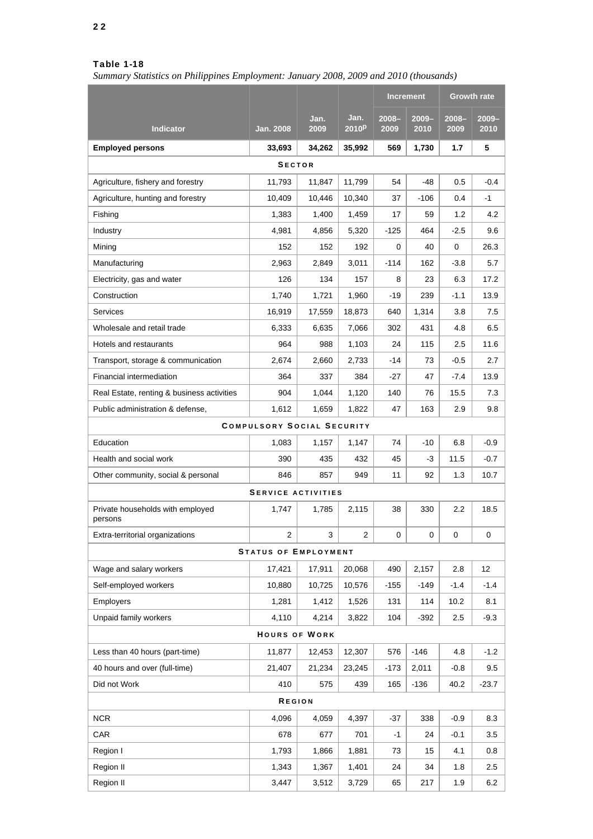*Summary Statistics on Philippines Employment: January 2008, 2009 and 2010 (thousands)* 

|                                             |                                   |              |                           | <b>Increment</b> |                  | <b>Growth rate</b> |                  |
|---------------------------------------------|-----------------------------------|--------------|---------------------------|------------------|------------------|--------------------|------------------|
| <b>Indicator</b>                            | <b>Jan. 2008</b>                  | Jan.<br>2009 | Jan.<br>2010 <sup>p</sup> | $2008 -$<br>2009 | $2009 -$<br>2010 | $2008 -$<br>2009   | $2009 -$<br>2010 |
| <b>Employed persons</b>                     | 33,693                            | 34,262       | 35,992                    | 569              | 1,730            | 1.7                | 5                |
|                                             | <b>SECTOR</b>                     |              |                           |                  |                  |                    |                  |
| Agriculture, fishery and forestry           | 11,793                            | 11,847       | 11,799                    | 54               | -48              | 0.5                | -0.4             |
| Agriculture, hunting and forestry           | 10,409                            | 10,446       | 10,340                    | 37               | -106             | 0.4                | -1               |
| Fishing                                     | 1,383                             | 1,400        | 1,459                     | 17               | 59               | 1.2                | 4.2              |
| Industry                                    | 4,981                             | 4,856        | 5,320                     | -125             | 464              | $-2.5$             | 9.6              |
| Mining                                      | 152                               | 152          | 192                       | 0                | 40               | 0                  | 26.3             |
| Manufacturing                               | 2,963                             | 2,849        | 3,011                     | $-114$           | 162              | $-3.8$             | 5.7              |
| Electricity, gas and water                  | 126                               | 134          | 157                       | 8                | 23               | 6.3                | 17.2             |
| Construction                                | 1,740                             | 1,721        | 1,960                     | -19              | 239              | $-1.1$             | 13.9             |
| Services                                    | 16,919                            | 17,559       | 18,873                    | 640              | 1,314            | 3.8                | 7.5              |
| Wholesale and retail trade                  | 6,333                             | 6,635        | 7,066                     | 302              | 431              | 4.8                | 6.5              |
| Hotels and restaurants                      | 964                               | 988          | 1,103                     | 24               | 115              | 2.5                | 11.6             |
| Transport, storage & communication          | 2,674                             | 2,660        | 2,733                     | -14              | 73               | $-0.5$             | 2.7              |
| Financial intermediation                    | 364                               | 337          | 384                       | -27              | 47               | $-7.4$             | 13.9             |
| Real Estate, renting & business activities  | 904                               | 1,044        | 1,120                     | 140              | 76               | 15.5               | 7.3              |
| Public administration & defense,            | 1,612                             | 1,659        | 1,822                     | 47               | 163              | 2.9                | 9.8              |
|                                             | <b>COMPULSORY SOCIAL SECURITY</b> |              |                           |                  |                  |                    |                  |
| Education                                   | 1,083                             | 1,157        | 1,147                     | 74               | $-10$            | 6.8                | $-0.9$           |
| Health and social work                      | 390                               | 435          | 432                       | 45               | -3               | 11.5               | $-0.7$           |
| Other community, social & personal          | 846                               | 857          | 949                       | 11               | 92               | 1.3                | 10.7             |
|                                             | <b>SERVICE ACTIVITIES</b>         |              |                           |                  |                  |                    |                  |
| Private households with employed<br>persons | 1,747                             | 1,785        | 2,115                     | 38               | 330              | 2.2                | 18.5             |
| Extra-territorial organizations             | 2                                 | 3            | 2                         | 0                | 0                | 0                  | 0                |
|                                             | <b>STATUS OF EMPLOYMENT</b>       |              |                           |                  |                  |                    |                  |
| Wage and salary workers                     | 17,421                            | 17,911       | 20,068                    | 490              | 2,157            | 2.8                | 12               |
| Self-employed workers                       | 10.880                            | 10,725       | 10,576                    | $-155$           | $-149$           | $-1.4$             | $-1.4$           |
| <b>Employers</b>                            | 1,281                             | 1,412        | 1,526                     | 131              | 114              | 10.2               | 8.1              |
| Unpaid family workers                       | 4,110                             | 4,214        | 3,822                     | 104              | $-392$           | 2.5                | $-9.3$           |
|                                             | <b>HOURS OF WORK</b>              |              |                           |                  |                  |                    |                  |
| Less than 40 hours (part-time)              | 11,877                            | 12,453       | 12,307                    | 576              | $-146$           | 4.8                | $-1.2$           |
| 40 hours and over (full-time)               | 21,407                            | 21,234       | 23,245                    | -173             | 2,011            | -0.8               | 9.5              |
| Did not Work                                | 410                               | 575          | 439                       | 165              | $-136$           | 40.2               | $-23.7$          |
|                                             | <b>REGION</b>                     |              |                           |                  |                  |                    |                  |
| <b>NCR</b>                                  | 4,096                             | 4,059        | 4,397                     | $-37$            | 338              | $-0.9$             | 8.3              |
| CAR                                         | 678                               | 677          | 701                       | -1               | 24               | $-0.1$             | 3.5              |
| Region I                                    | 1,793                             | 1,866        | 1,881                     | 73               | 15               | 4.1                | $0.8\,$          |
| Region II                                   | 1,343                             | 1,367        | 1,401                     | 24               | 34               | 1.8                | 2.5              |
| Region II                                   | 3,447                             | 3,512        | 3,729                     | 65               | 217              | 1.9                | 6.2              |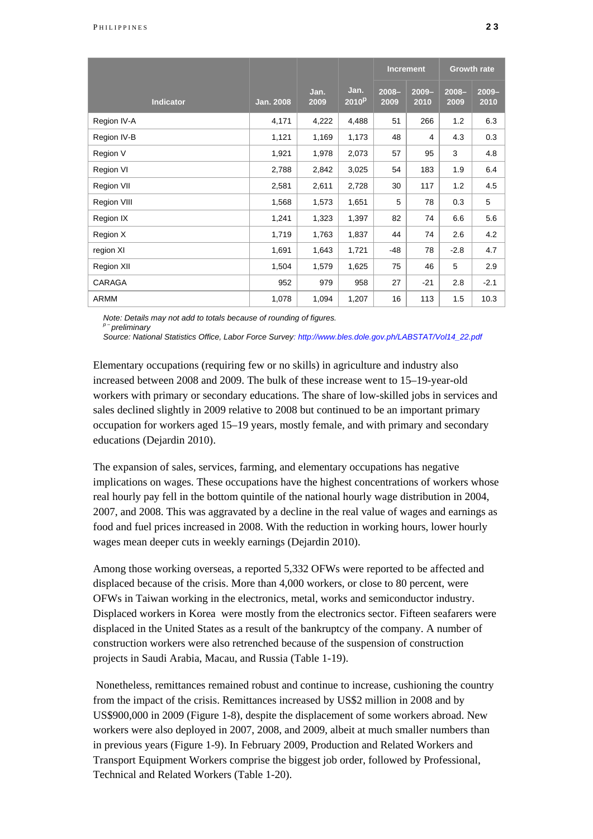|                  |                  |              |                           | <b>Increment</b> |                  | <b>Growth rate</b> |                  |
|------------------|------------------|--------------|---------------------------|------------------|------------------|--------------------|------------------|
| <b>Indicator</b> | <b>Jan. 2008</b> | Jan.<br>2009 | Jan.<br>2010 <sup>p</sup> | $2008 -$<br>2009 | $2009 -$<br>2010 | $2008 -$<br>2009   | $2009 -$<br>2010 |
| Region IV-A      | 4,171            | 4,222        | 4,488                     | 51               | 266              | 1.2                | 6.3              |
| Region IV-B      | 1,121            | 1,169        | 1,173                     | 48               | 4                | 4.3                | 0.3              |
| Region V         | 1,921            | 1,978        | 2,073                     | 57               | 95               | 3                  | 4.8              |
| Region VI        | 2,788            | 2,842        | 3,025                     | 54               | 183              | 1.9                | 6.4              |
| Region VII       | 2,581            | 2,611        | 2,728                     | 30               | 117              | 1.2                | 4.5              |
| Region VIII      | 1,568            | 1,573        | 1,651                     | 5                | 78               | 0.3                | 5                |
| Region IX        | 1,241            | 1,323        | 1,397                     | 82               | 74               | 6.6                | 5.6              |
| Region X         | 1,719            | 1,763        | 1,837                     | 44               | 74               | 2.6                | 4.2              |
| region XI        | 1,691            | 1,643        | 1,721                     | -48              | 78               | $-2.8$             | 4.7              |
| Region XII       | 1,504            | 1,579        | 1,625                     | 75               | 46               | 5                  | 2.9              |
| CARAGA           | 952              | 979          | 958                       | 27               | $-21$            | 2.8                | $-2.1$           |
| <b>ARMM</b>      | 1,078            | 1,094        | 1,207                     | 16               | 113              | 1.5                | 10.3             |

*Note: Details may not add to totals because of rounding of figures.* 

*p – preliminary* 

*Source: National Statistics Office, Labor Force Survey: http://www.bles.dole.gov.ph/LABSTAT/Vol14\_22.pdf*

Elementary occupations (requiring few or no skills) in agriculture and industry also increased between 2008 and 2009. The bulk of these increase went to 15–19-year-old workers with primary or secondary educations. The share of low-skilled jobs in services and sales declined slightly in 2009 relative to 2008 but continued to be an important primary occupation for workers aged 15–19 years, mostly female, and with primary and secondary educations (Dejardin 2010).

The expansion of sales, services, farming, and elementary occupations has negative implications on wages. These occupations have the highest concentrations of workers whose real hourly pay fell in the bottom quintile of the national hourly wage distribution in 2004, 2007, and 2008. This was aggravated by a decline in the real value of wages and earnings as food and fuel prices increased in 2008. With the reduction in working hours, lower hourly wages mean deeper cuts in weekly earnings (Dejardin 2010).

Among those working overseas, a reported 5,332 OFWs were reported to be affected and displaced because of the crisis. More than 4,000 workers, or close to 80 percent, were OFWs in Taiwan working in the electronics, metal, works and semiconductor industry. Displaced workers in Korea were mostly from the electronics sector. Fifteen seafarers were displaced in the United States as a result of the bankruptcy of the company. A number of construction workers were also retrenched because of the suspension of construction projects in Saudi Arabia, Macau, and Russia (Table 1-19).

 Nonetheless, remittances remained robust and continue to increase, cushioning the country from the impact of the crisis. Remittances increased by US\$2 million in 2008 and by US\$900,000 in 2009 (Figure 1-8), despite the displacement of some workers abroad. New workers were also deployed in 2007, 2008, and 2009, albeit at much smaller numbers than in previous years (Figure 1-9). In February 2009, Production and Related Workers and Transport Equipment Workers comprise the biggest job order, followed by Professional, Technical and Related Workers (Table 1-20).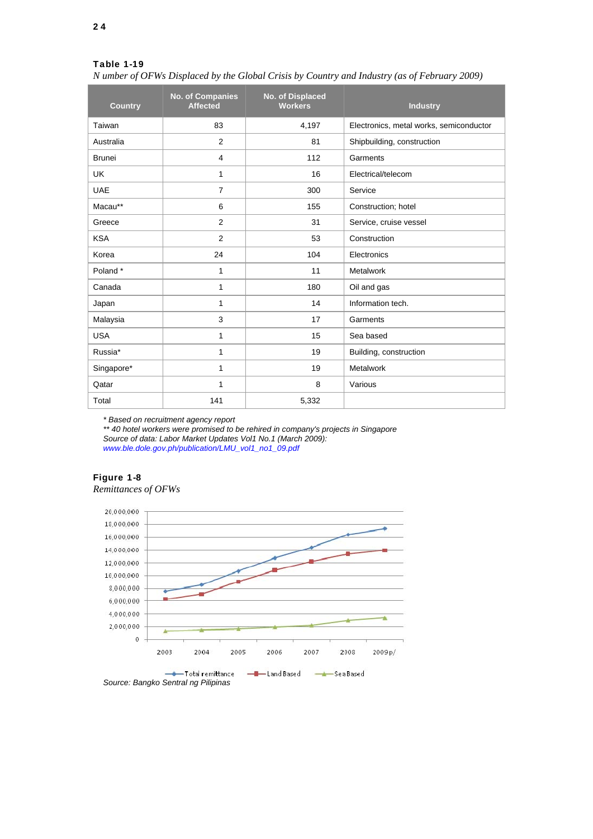*N umber of OFWs Displaced by the Global Crisis by Country and Industry (as of February 2009)*

| <b>Country</b> | <b>No. of Companies</b><br><b>Affected</b> | No. of Displaced<br><b>Workers</b> | <b>Industry</b>                         |
|----------------|--------------------------------------------|------------------------------------|-----------------------------------------|
| Taiwan         | 83                                         | 4,197                              | Electronics, metal works, semiconductor |
| Australia      | 2                                          | 81                                 | Shipbuilding, construction              |
| <b>Brunei</b>  | $\overline{4}$                             | 112                                | Garments                                |
| <b>UK</b>      | 1                                          | 16                                 | Electrical/telecom                      |
| <b>UAE</b>     | $\overline{7}$                             | 300                                | Service                                 |
| Macau**        | 6                                          | 155                                | Construction; hotel                     |
| Greece         | $\overline{2}$                             | 31                                 | Service, cruise vessel                  |
| <b>KSA</b>     | 2                                          | 53                                 | Construction                            |
| Korea          | 24                                         | 104                                | Electronics                             |
| Poland*        | 1                                          | 11                                 | Metalwork                               |
| Canada         | 1                                          | 180                                | Oil and gas                             |
| Japan          | 1                                          | 14                                 | Information tech.                       |
| Malaysia       | 3                                          | 17                                 | Garments                                |
| <b>USA</b>     | 1                                          | 15                                 | Sea based                               |
| Russia*        | 1                                          | 19                                 | Building, construction                  |
| Singapore*     | 1                                          | 19                                 | Metalwork                               |
| Qatar          | 1                                          | 8                                  | Various                                 |
| Total          | 141                                        | 5,332                              |                                         |

*\* Based on recruitment agency report* 

*\*\* 40 hotel workers were promised to be rehired in company's projects in Singapore Source of data: Labor Market Updates Vol1 No.1 (March 2009): www.ble.dole.gov.ph/publication/LMU\_vol1\_no1\_09.pdf*

### Figure 1-8 *Remittances of OFWs*

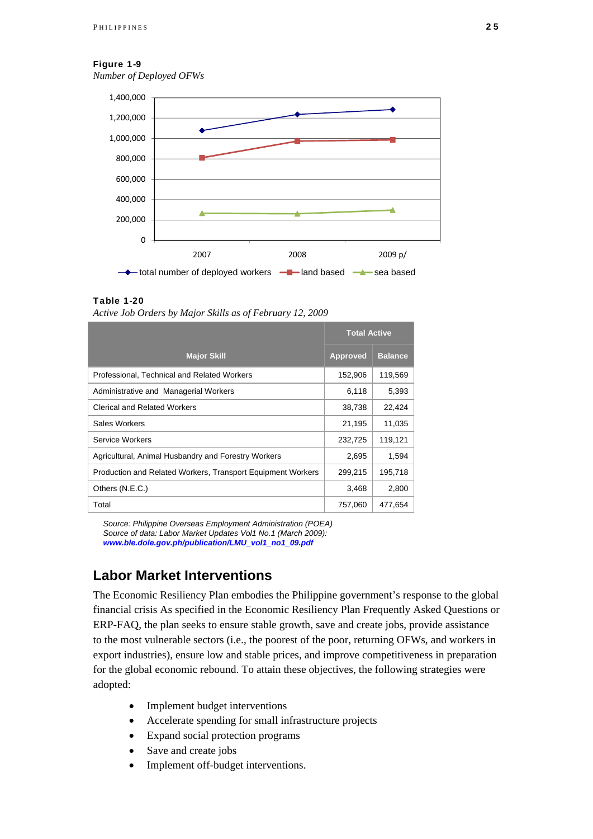#### Figure 1-9

*Number of Deployed OFWs*



### Table 1-20

*Active Job Orders by Major Skills as of February 12, 2009*

|                                                             | <b>Total Active</b> |                |
|-------------------------------------------------------------|---------------------|----------------|
| <b>Major Skill</b>                                          | <b>Approved</b>     | <b>Balance</b> |
| Professional, Technical and Related Workers                 | 152,906             | 119,569        |
| Administrative and Managerial Workers                       | 6,118               | 5,393          |
| <b>Clerical and Related Workers</b>                         | 38,738              | 22,424         |
| Sales Workers                                               | 21,195              | 11,035         |
| Service Workers                                             | 232,725             | 119,121        |
| Agricultural, Animal Husbandry and Forestry Workers         | 2,695               | 1,594          |
| Production and Related Workers, Transport Equipment Workers | 299,215             | 195,718        |
| Others (N.E.C.)                                             | 3,468               | 2,800          |
| Total                                                       | 757,060             | 477.654        |

*Source: Philippine Overseas Employment Administration (POEA) Source of data: Labor Market Updates Vol1 No.1 (March 2009): www.ble.dole.gov.ph/publication/LMU\_vol1\_no1\_09.pdf* 

### **Labor Market Interventions**

The Economic Resiliency Plan embodies the Philippine government's response to the global financial crisis As specified in the Economic Resiliency Plan Frequently Asked Questions or ERP-FAQ, the plan seeks to ensure stable growth, save and create jobs, provide assistance to the most vulnerable sectors (i.e., the poorest of the poor, returning OFWs, and workers in export industries), ensure low and stable prices, and improve competitiveness in preparation for the global economic rebound. To attain these objectives, the following strategies were adopted:

- Implement budget interventions
- Accelerate spending for small infrastructure projects
- Expand social protection programs
- Save and create jobs
- Implement off-budget interventions.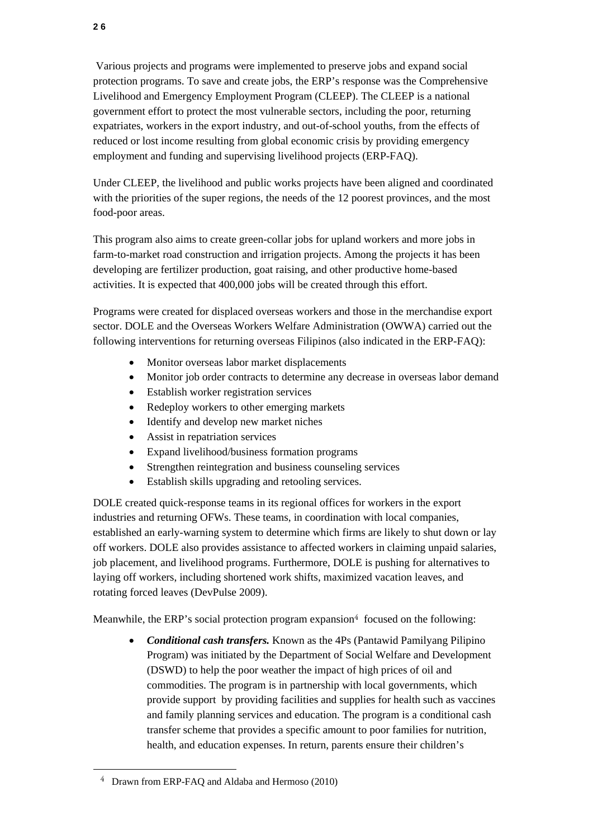Various projects and programs were implemented to preserve jobs and expand social protection programs. To save and create jobs, the ERP's response was the Comprehensive Livelihood and Emergency Employment Program (CLEEP). The CLEEP is a national government effort to protect the most vulnerable sectors, including the poor, returning expatriates, workers in the export industry, and out-of-school youths, from the effects of reduced or lost income resulting from global economic crisis by providing emergency employment and funding and supervising livelihood projects (ERP-FAQ).

Under CLEEP, the livelihood and public works projects have been aligned and coordinated with the priorities of the super regions, the needs of the 12 poorest provinces, and the most food-poor areas.

This program also aims to create green-collar jobs for upland workers and more jobs in farm-to-market road construction and irrigation projects. Among the projects it has been developing are fertilizer production, goat raising, and other productive home-based activities. It is expected that 400,000 jobs will be created through this effort.

Programs were created for displaced overseas workers and those in the merchandise export sector. DOLE and the Overseas Workers Welfare Administration (OWWA) carried out the following interventions for returning overseas Filipinos (also indicated in the ERP-FAQ):

- Monitor overseas labor market displacements
- Monitor job order contracts to determine any decrease in overseas labor demand
- Establish worker registration services
- Redeploy workers to other emerging markets
- Identify and develop new market niches
- Assist in repatriation services
- Expand livelihood/business formation programs
- Strengthen reintegration and business counseling services
- Establish skills upgrading and retooling services.

DOLE created quick-response teams in its regional offices for workers in the export industries and returning OFWs. These teams, in coordination with local companies, established an early-warning system to determine which firms are likely to shut down or lay off workers. DOLE also provides assistance to affected workers in claiming unpaid salaries, job placement, and livelihood programs. Furthermore, DOLE is pushing for alternatives to laying off workers, including shortened work shifts, maximized vacation leaves, and rotating forced leaves (DevPulse 2009).

Meanwhile, the ERP's social protection program expansion<sup>4</sup> focused on the following:

 *Conditional cash transfers.* Known as the 4Ps (Pantawid Pamilyang Pilipino Program) was initiated by the Department of Social Welfare and Development (DSWD) to help the poor weather the impact of high prices of oil and commodities. The program is in partnership with local governments, which provide support by providing facilities and supplies for health such as vaccines and family planning services and education. The program is a conditional cash transfer scheme that provides a specific amount to poor families for nutrition, health, and education expenses. In return, parents ensure their children's

l

<sup>4</sup> Drawn from ERP-FAQ and Aldaba and Hermoso (2010)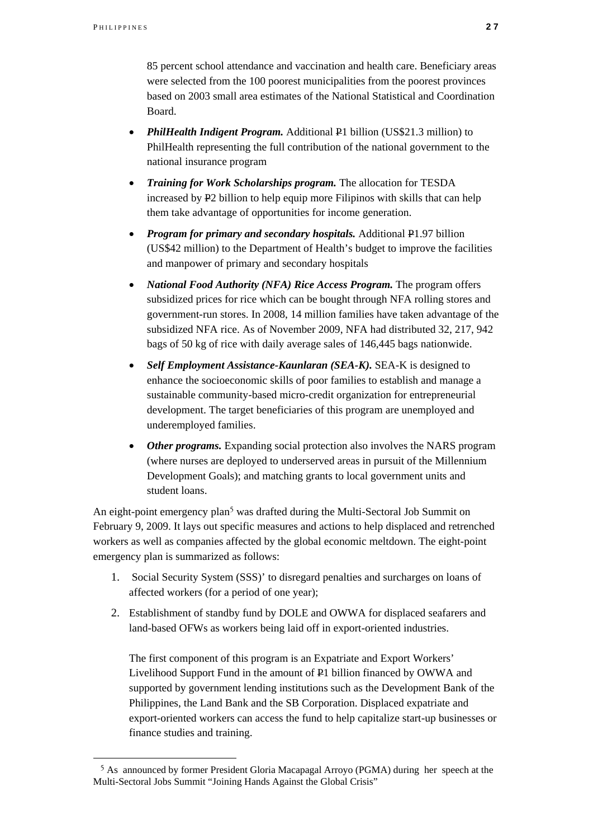l

85 percent school attendance and vaccination and health care. Beneficiary areas were selected from the 100 poorest municipalities from the poorest provinces based on 2003 small area estimates of the National Statistical and Coordination Board.

- **PhilHealth Indigent Program.** Additional P1 billion (US\$21.3 million) to PhilHealth representing the full contribution of the national government to the national insurance program
- *Training for Work Scholarships program.* The allocation for TESDA increased by P2 billion to help equip more Filipinos with skills that can help them take advantage of opportunities for income generation.
- *Program for primary and secondary hospitals.* Additional P1.97 billion (US\$42 million) to the Department of Health's budget to improve the facilities and manpower of primary and secondary hospitals
- *National Food Authority (NFA) Rice Access Program.* The program offers subsidized prices for rice which can be bought through NFA rolling stores and government-run stores. In 2008, 14 million families have taken advantage of the subsidized NFA rice. As of November 2009, NFA had distributed 32, 217, 942 bags of 50 kg of rice with daily average sales of 146,445 bags nationwide.
- *Self Employment Assistance-Kaunlaran (SEA-K).* SEA-K is designed to enhance the socioeconomic skills of poor families to establish and manage a sustainable community-based micro-credit organization for entrepreneurial development. The target beneficiaries of this program are unemployed and underemployed families.
- *Other programs.* Expanding social protection also involves the NARS program (where nurses are deployed to underserved areas in pursuit of the Millennium Development Goals); and matching grants to local government units and student loans.

An eight-point emergency  $plan<sup>5</sup>$  was drafted during the Multi-Sectoral Job Summit on February 9, 2009. It lays out specific measures and actions to help displaced and retrenched workers as well as companies affected by the global economic meltdown. The eight-point emergency plan is summarized as follows:

- 1. Social Security System (SSS)' to disregard penalties and surcharges on loans of affected workers (for a period of one year);
- 2. Establishment of standby fund by DOLE and OWWA for displaced seafarers and land-based OFWs as workers being laid off in export-oriented industries.

The first component of this program is an Expatriate and Export Workers' Livelihood Support Fund in the amount of P1 billion financed by OWWA and supported by government lending institutions such as the Development Bank of the Philippines, the Land Bank and the SB Corporation. Displaced expatriate and export-oriented workers can access the fund to help capitalize start-up businesses or finance studies and training.

<sup>5</sup> As announced by former President Gloria Macapagal Arroyo (PGMA) during her speech at the Multi-Sectoral Jobs Summit "Joining Hands Against the Global Crisis"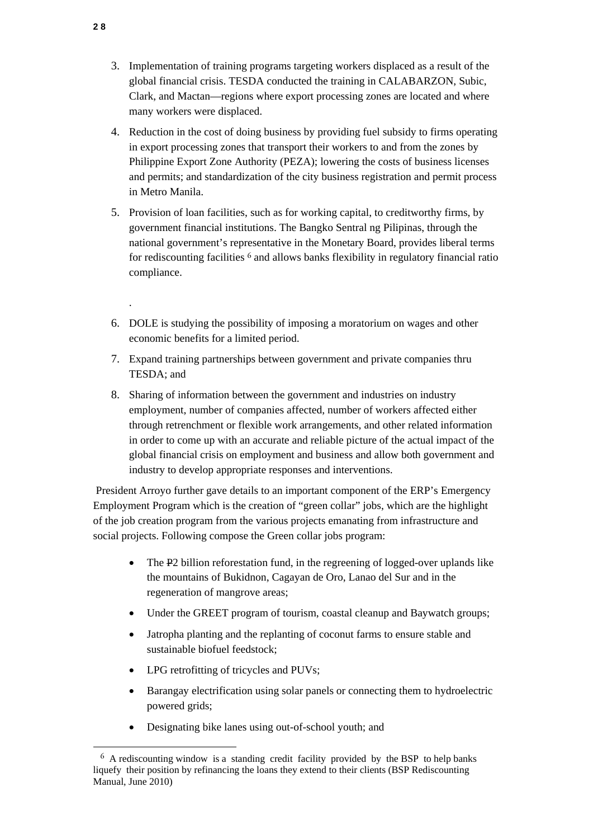- 3. Implementation of training programs targeting workers displaced as a result of the global financial crisis. TESDA conducted the training in CALABARZON, Subic, Clark, and Mactan—regions where export processing zones are located and where many workers were displaced.
- 4. Reduction in the cost of doing business by providing fuel subsidy to firms operating in export processing zones that transport their workers to and from the zones by Philippine Export Zone Authority (PEZA); lowering the costs of business licenses and permits; and standardization of the city business registration and permit process in Metro Manila.
- 5. Provision of loan facilities, such as for working capital, to creditworthy firms, by government financial institutions. The Bangko Sentral ng Pilipinas, through the national government's representative in the Monetary Board, provides liberal terms for rediscounting facilities 6 and allows banks flexibility in regulatory financial ratio compliance.
- 6. DOLE is studying the possibility of imposing a moratorium on wages and other economic benefits for a limited period.
- 7. Expand training partnerships between government and private companies thru TESDA; and
- 8. Sharing of information between the government and industries on industry employment, number of companies affected, number of workers affected either through retrenchment or flexible work arrangements, and other related information in order to come up with an accurate and reliable picture of the actual impact of the global financial crisis on employment and business and allow both government and industry to develop appropriate responses and interventions.

 President Arroyo further gave details to an important component of the ERP's Emergency Employment Program which is the creation of "green collar" jobs, which are the highlight of the job creation program from the various projects emanating from infrastructure and social projects. Following compose the Green collar jobs program:

- The P2 billion reforestation fund, in the regreening of logged-over uplands like the mountains of Bukidnon, Cagayan de Oro, Lanao del Sur and in the regeneration of mangrove areas;
- Under the GREET program of tourism, coastal cleanup and Baywatch groups;
- Jatropha planting and the replanting of coconut farms to ensure stable and sustainable biofuel feedstock;
- LPG retrofitting of tricycles and PUVs;
- Barangay electrification using solar panels or connecting them to hydroelectric powered grids;
- Designating bike lanes using out-of-school youth; and

.

l

<sup>6</sup> A rediscounting window is a standing credit facility provided by the BSP to help banks liquefy their position by refinancing the loans they extend to their clients (BSP Rediscounting Manual, June 2010)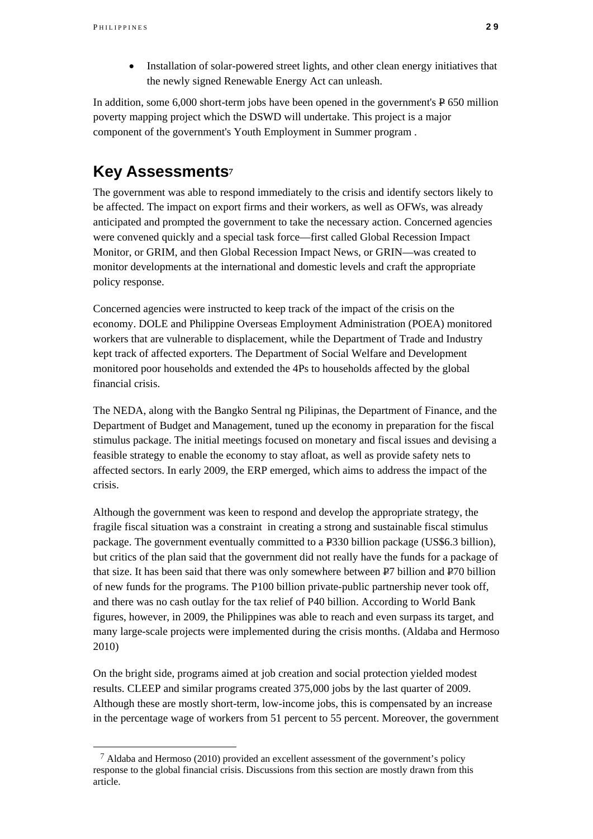l

• Installation of solar-powered street lights, and other clean energy initiatives that the newly signed Renewable Energy Act can unleash.

In addition, some 6,000 short-term jobs have been opened in the government's P 650 million poverty mapping project which the DSWD will undertake. This project is a major component of the government's Youth Employment in Summer program .

# **Key Assessments**<sup>7</sup>

The government was able to respond immediately to the crisis and identify sectors likely to be affected. The impact on export firms and their workers, as well as OFWs, was already anticipated and prompted the government to take the necessary action. Concerned agencies were convened quickly and a special task force—first called Global Recession Impact Monitor, or GRIM, and then Global Recession Impact News, or GRIN—was created to monitor developments at the international and domestic levels and craft the appropriate policy response.

Concerned agencies were instructed to keep track of the impact of the crisis on the economy. DOLE and Philippine Overseas Employment Administration (POEA) monitored workers that are vulnerable to displacement, while the Department of Trade and Industry kept track of affected exporters. The Department of Social Welfare and Development monitored poor households and extended the 4Ps to households affected by the global financial crisis.

The NEDA, along with the Bangko Sentral ng Pilipinas, the Department of Finance, and the Department of Budget and Management, tuned up the economy in preparation for the fiscal stimulus package. The initial meetings focused on monetary and fiscal issues and devising a feasible strategy to enable the economy to stay afloat, as well as provide safety nets to affected sectors. In early 2009, the ERP emerged, which aims to address the impact of the crisis.

Although the government was keen to respond and develop the appropriate strategy, the fragile fiscal situation was a constraint in creating a strong and sustainable fiscal stimulus package. The government eventually committed to a P330 billion package (US\$6.3 billion), but critics of the plan said that the government did not really have the funds for a package of that size. It has been said that there was only somewhere between P7 billion and P70 billion of new funds for the programs. The P100 billion private-public partnership never took off, and there was no cash outlay for the tax relief of P40 billion. According to World Bank figures, however, in 2009, the Philippines was able to reach and even surpass its target, and many large-scale projects were implemented during the crisis months. (Aldaba and Hermoso 2010)

On the bright side, programs aimed at job creation and social protection yielded modest results. CLEEP and similar programs created 375,000 jobs by the last quarter of 2009. Although these are mostly short-term, low-income jobs, this is compensated by an increase in the percentage wage of workers from 51 percent to 55 percent. Moreover, the government

 $^7$  Aldaba and Hermoso (2010) provided an excellent assessment of the government's policy response to the global financial crisis. Discussions from this section are mostly drawn from this article.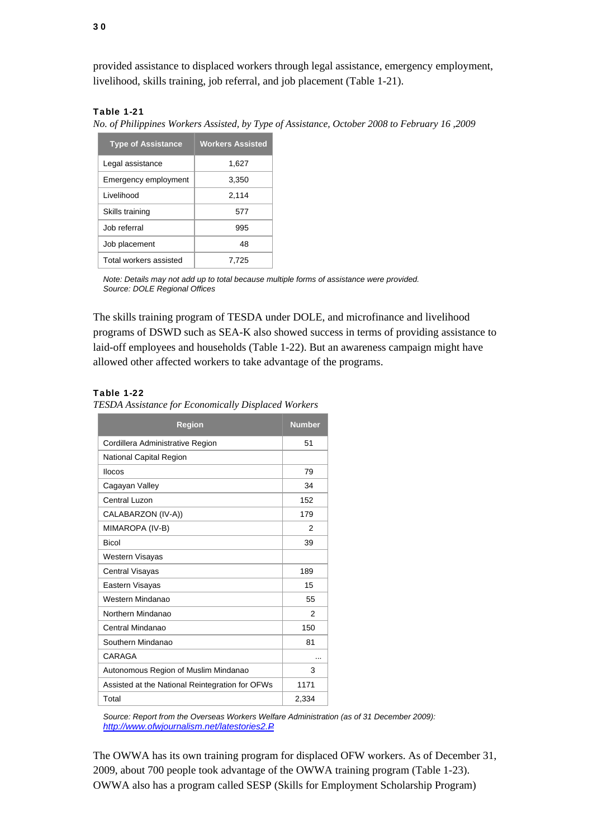provided assistance to displaced workers through legal assistance, emergency employment, livelihood, skills training, job referral, and job placement (Table 1-21).

### Table 1-21

*No. of Philippines Workers Assisted, by Type of Assistance, October 2008 to February 16 ,2009*

| <b>Type of Assistance</b> | <b>Workers Assisted</b> |  |
|---------------------------|-------------------------|--|
| Legal assistance          | 1,627                   |  |
| Emergency employment      | 3,350                   |  |
| Livelihood                | 2.114                   |  |
| Skills training           | 577                     |  |
| Job referral              | 995                     |  |
| Job placement             | 48                      |  |
| Total workers assisted    | 7.725                   |  |

*Note: Details may not add up to total because multiple forms of assistance were provided. Source: DOLE Regional Offices* 

The skills training program of TESDA under DOLE, and microfinance and livelihood programs of DSWD such as SEA-K also showed success in terms of providing assistance to laid-off employees and households (Table 1-22). But an awareness campaign might have allowed other affected workers to take advantage of the programs.

### Table 1-22

*TESDA Assistance for Economically Displaced Workers*

| <b>Region</b>                                   | <b>Number</b> |
|-------------------------------------------------|---------------|
| Cordillera Administrative Region                | 51            |
| National Capital Region                         |               |
| <b>Ilocos</b>                                   | 79            |
| Cagayan Valley                                  | 34            |
| Central Luzon                                   | 152           |
| CALABARZON (IV-A))                              | 179           |
| MIMAROPA (IV-B)                                 | 2             |
| <b>Bicol</b>                                    | 39            |
| <b>Western Visayas</b>                          |               |
| <b>Central Visayas</b>                          | 189           |
| Eastern Visayas                                 | 15            |
| Western Mindanao                                | 55            |
| Northern Mindanao                               | 2             |
| Central Mindanao                                | 150           |
| Southern Mindanao                               | 81            |
| CARAGA                                          |               |
| Autonomous Region of Muslim Mindanao            | 3             |
| Assisted at the National Reintegration for OFWs | 1171          |
| Total                                           | 2,334         |

*Source: Report from the Overseas Workers Welfare Administration (as of 31 December 2009): http://www.ofwjournalism.net/latestories2.P*

The OWWA has its own training program for displaced OFW workers. As of December 31, 2009, about 700 people took advantage of the OWWA training program (Table 1-23). OWWA also has a program called SESP (Skills for Employment Scholarship Program)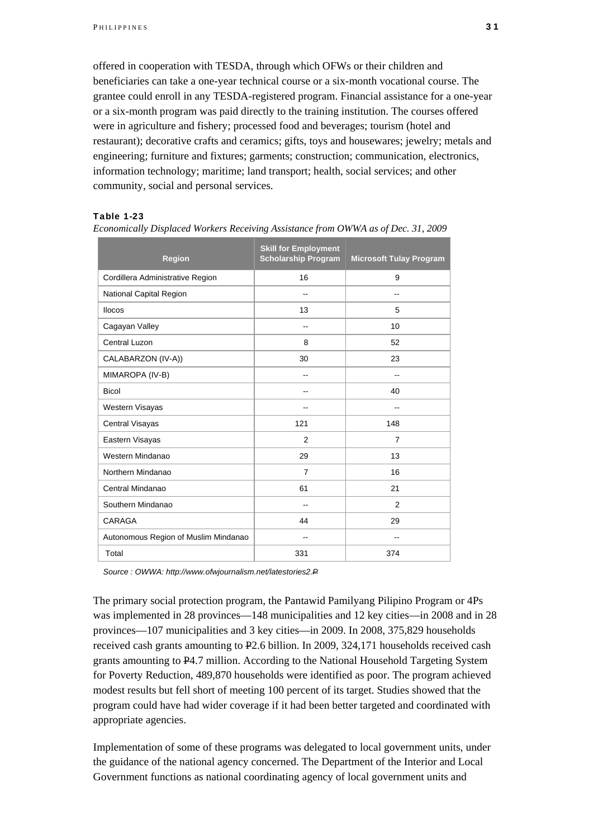offered in cooperation with TESDA, through which OFWs or their children and beneficiaries can take a one-year technical course or a six-month vocational course. The grantee could enroll in any TESDA-registered program. Financial assistance for a one-year or a six-month program was paid directly to the training institution. The courses offered were in agriculture and fishery; processed food and beverages; tourism (hotel and restaurant); decorative crafts and ceramics; gifts, toys and housewares; jewelry; metals and engineering; furniture and fixtures; garments; construction; communication, electronics, information technology; maritime; land transport; health, social services; and other community, social and personal services.

### Table 1-23

| <b>Region</b>                        | <b>Skill for Employment</b><br><b>Scholarship Program</b> | <b>Microsoft Tulay Program</b> |
|--------------------------------------|-----------------------------------------------------------|--------------------------------|
| Cordillera Administrative Region     | 16                                                        | 9                              |
| National Capital Region              | --                                                        | --                             |
| <b>Ilocos</b>                        | 13                                                        | 5                              |
| Cagayan Valley                       | --                                                        | 10                             |
| Central Luzon                        | 8                                                         | 52                             |
| CALABARZON (IV-A))                   | 30                                                        | 23                             |
| MIMAROPA (IV-B)                      | --                                                        | --                             |
| <b>Bicol</b>                         | --                                                        | 40                             |
| Western Visayas                      | $\qquad \qquad -$                                         | $\overline{\phantom{a}}$       |
| <b>Central Visayas</b>               | 121                                                       | 148                            |
| Eastern Visayas                      | $\overline{2}$                                            | $\overline{7}$                 |
| Western Mindanao                     | 29                                                        | 13                             |
| Northern Mindanao                    | $\overline{7}$                                            | 16                             |
| Central Mindanao                     | 61                                                        | 21                             |
| Southern Mindanao                    | --                                                        | 2                              |
| CARAGA                               | 44                                                        | 29                             |
| Autonomous Region of Muslim Mindanao | $-$                                                       | $-$                            |
| Total                                | 331                                                       | 374                            |

*Economically Displaced Workers Receiving Assistance from OWWA as of Dec. 31, 2009*

*Source : OWWA: http://www.ofwjournalism.net/latestories2.P*

The primary social protection program, the Pantawid Pamilyang Pilipino Program or 4Ps was implemented in 28 provinces—148 municipalities and 12 key cities—in 2008 and in 28 provinces—107 municipalities and 3 key cities—in 2009. In 2008, 375,829 households received cash grants amounting to P2.6 billion. In 2009, 324,171 households received cash grants amounting to P4.7 million. According to the National Household Targeting System for Poverty Reduction, 489,870 households were identified as poor. The program achieved modest results but fell short of meeting 100 percent of its target. Studies showed that the program could have had wider coverage if it had been better targeted and coordinated with appropriate agencies.

Implementation of some of these programs was delegated to local government units, under the guidance of the national agency concerned. The Department of the Interior and Local Government functions as national coordinating agency of local government units and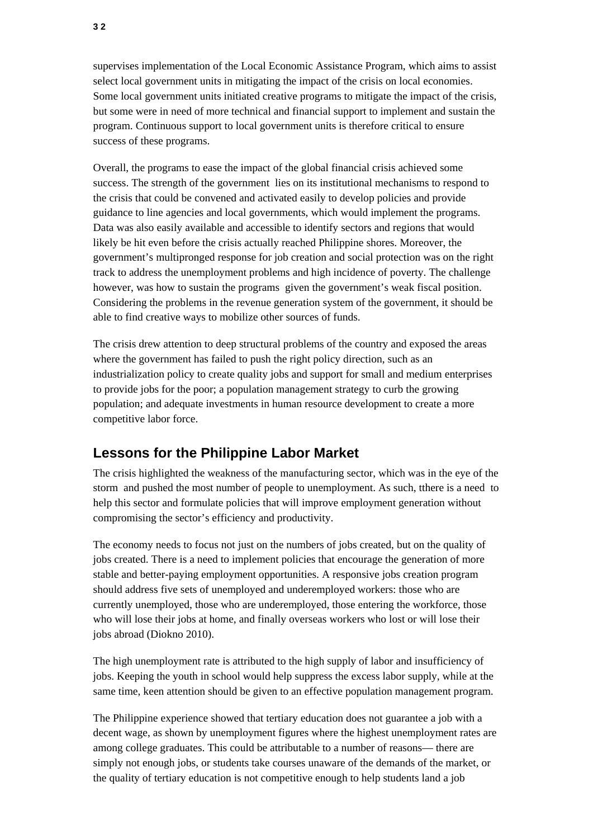supervises implementation of the Local Economic Assistance Program, which aims to assist select local government units in mitigating the impact of the crisis on local economies. Some local government units initiated creative programs to mitigate the impact of the crisis, but some were in need of more technical and financial support to implement and sustain the program. Continuous support to local government units is therefore critical to ensure success of these programs.

Overall, the programs to ease the impact of the global financial crisis achieved some success. The strength of the government lies on its institutional mechanisms to respond to the crisis that could be convened and activated easily to develop policies and provide guidance to line agencies and local governments, which would implement the programs. Data was also easily available and accessible to identify sectors and regions that would likely be hit even before the crisis actually reached Philippine shores. Moreover, the government's multipronged response for job creation and social protection was on the right track to address the unemployment problems and high incidence of poverty. The challenge however, was how to sustain the programs given the government's weak fiscal position. Considering the problems in the revenue generation system of the government, it should be able to find creative ways to mobilize other sources of funds.

The crisis drew attention to deep structural problems of the country and exposed the areas where the government has failed to push the right policy direction, such as an industrialization policy to create quality jobs and support for small and medium enterprises to provide jobs for the poor; a population management strategy to curb the growing population; and adequate investments in human resource development to create a more competitive labor force.

### **Lessons for the Philippine Labor Market**

The crisis highlighted the weakness of the manufacturing sector, which was in the eye of the storm and pushed the most number of people to unemployment. As such, tthere is a need to help this sector and formulate policies that will improve employment generation without compromising the sector's efficiency and productivity.

The economy needs to focus not just on the numbers of jobs created, but on the quality of jobs created. There is a need to implement policies that encourage the generation of more stable and better-paying employment opportunities. A responsive jobs creation program should address five sets of unemployed and underemployed workers: those who are currently unemployed, those who are underemployed, those entering the workforce, those who will lose their jobs at home, and finally overseas workers who lost or will lose their jobs abroad (Diokno 2010).

The high unemployment rate is attributed to the high supply of labor and insufficiency of jobs. Keeping the youth in school would help suppress the excess labor supply, while at the same time, keen attention should be given to an effective population management program.

The Philippine experience showed that tertiary education does not guarantee a job with a decent wage, as shown by unemployment figures where the highest unemployment rates are among college graduates. This could be attributable to a number of reasons— there are simply not enough jobs, or students take courses unaware of the demands of the market, or the quality of tertiary education is not competitive enough to help students land a job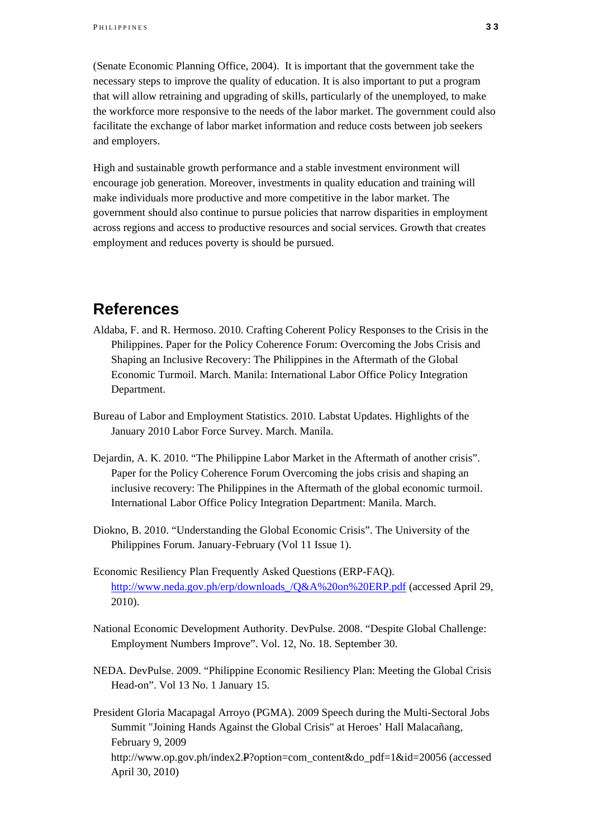(Senate Economic Planning Office, 2004). It is important that the government take the necessary steps to improve the quality of education. It is also important to put a program that will allow retraining and upgrading of skills, particularly of the unemployed, to make the workforce more responsive to the needs of the labor market. The government could also facilitate the exchange of labor market information and reduce costs between job seekers and employers.

High and sustainable growth performance and a stable investment environment will encourage job generation. Moreover, investments in quality education and training will make individuals more productive and more competitive in the labor market. The government should also continue to pursue policies that narrow disparities in employment across regions and access to productive resources and social services. Growth that creates employment and reduces poverty is should be pursued.

### **References**

- Aldaba, F. and R. Hermoso. 2010. Crafting Coherent Policy Responses to the Crisis in the Philippines. Paper for the Policy Coherence Forum: Overcoming the Jobs Crisis and Shaping an Inclusive Recovery: The Philippines in the Aftermath of the Global Economic Turmoil. March. Manila: International Labor Office Policy Integration Department.
- Bureau of Labor and Employment Statistics. 2010. Labstat Updates. Highlights of the January 2010 Labor Force Survey. March. Manila.
- Dejardin, A. K. 2010. "The Philippine Labor Market in the Aftermath of another crisis". Paper for the Policy Coherence Forum Overcoming the jobs crisis and shaping an inclusive recovery: The Philippines in the Aftermath of the global economic turmoil. International Labor Office Policy Integration Department: Manila. March.
- Diokno, B. 2010. "Understanding the Global Economic Crisis". The University of the Philippines Forum. January-February (Vol 11 Issue 1).
- Economic Resiliency Plan Frequently Asked Questions (ERP-FAQ). http://www.neda.gov.ph/erp/downloads\_/Q&A%20on%20ERP.pdf (accessed April 29, 2010).
- National Economic Development Authority. DevPulse. 2008. "Despite Global Challenge: Employment Numbers Improve". Vol. 12, No. 18. September 30.
- NEDA. DevPulse. 2009. "Philippine Economic Resiliency Plan: Meeting the Global Crisis Head-on". Vol 13 No. 1 January 15.

President Gloria Macapagal Arroyo (PGMA). 2009 Speech during the Multi-Sectoral Jobs Summit "Joining Hands Against the Global Crisis" at Heroes' Hall Malacañang, February 9, 2009 http://www.op.gov.ph/index2.P?option=com\_content&do\_pdf=1&id=20056 (accessed April 30, 2010)